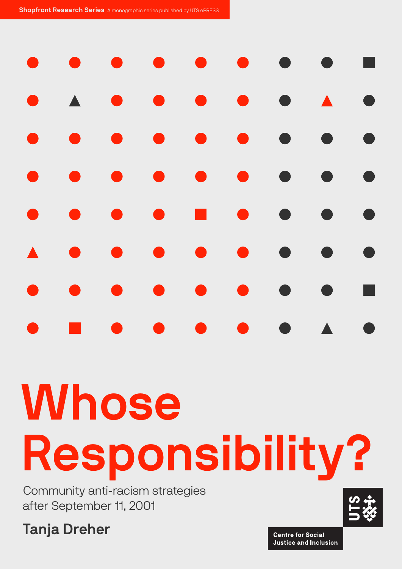Shopfront Research Series A monographic series published by UTS ePRESS

| $\bullet$        | $\bullet$           |           | $\bullet$ $\bullet$                                                                                      |           |                     | $\begin{array}{ccccccccccccccccc} \bullet & \bullet & \bullet & \bullet & \bullet & \bullet & \bullet \end{array}$ |                                            | $\blacksquare$ |
|------------------|---------------------|-----------|----------------------------------------------------------------------------------------------------------|-----------|---------------------|--------------------------------------------------------------------------------------------------------------------|--------------------------------------------|----------------|
|                  | $\bullet$ $\bullet$ |           | $\begin{array}{ccccccccccccccccc} \bullet & \bullet & \bullet & \bullet & \bullet & \bullet \end{array}$ |           |                     | $\bullet$ $\bullet$                                                                                                |                                            | $\bullet$      |
| $\bullet$        | $\bullet$           |           | $\bullet$ $\bullet$                                                                                      |           | $\bullet$ $\bullet$ | $\bullet$                                                                                                          | <b>Contract Contract Contract Contract</b> | $\bullet$      |
| $\bullet$        | $\bullet$           | $\bullet$ | $\bullet$                                                                                                |           | $\bullet$ $\bullet$ | $\begin{array}{c} \bullet \\ \bullet \end{array}$                                                                  | $\bullet$                                  | $\bullet$      |
| $\bullet$        | $\bullet$           | $\bullet$ | $\bullet$                                                                                                |           | $\blacksquare$      | $\bullet$                                                                                                          | $\bullet$                                  | $\bullet$      |
| $\blacktriangle$ | $\bullet$           | $\bullet$ | $\bullet$                                                                                                | $\bullet$ |                     | $\bullet$                                                                                                          | $\bullet$                                  | $\bullet$      |
| $\bullet$        | $\bullet$           | $\bullet$ | $\bullet$                                                                                                | $\bullet$ | $\bullet$           | $\bullet$                                                                                                          | $\bullet$                                  | п              |
| $\bullet$        | an an               | $\bullet$ | $\bullet$                                                                                                |           |                     | $\bullet$ $\bullet$ $\bullet$ $\Lambda$                                                                            |                                            | $\bullet$      |
|                  |                     |           |                                                                                                          |           |                     |                                                                                                                    |                                            |                |
|                  | <b>MAIL</b>         |           |                                                                                                          |           |                     |                                                                                                                    |                                            |                |

# Whose Responsibility?

Community anti-racism strategies after September 11, 2001

Tanja Dreher

**Centre for Social Justice and Inclusion**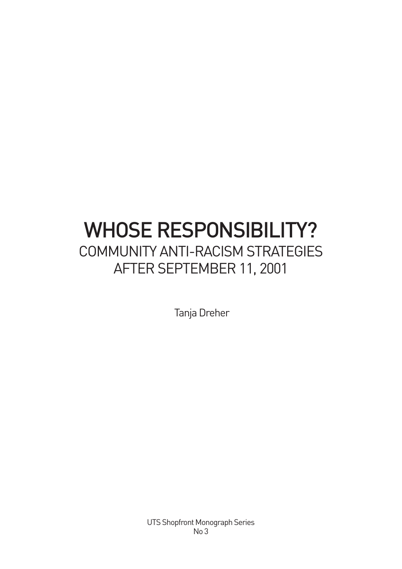# WHOSE RESPONSIBILITY? COMMUNITY ANTI-RACISM STRATEGIES AFTER SEPTEMBER 11, 2001

Tanja Dreher

UTS Shopfront Monograph Series No 3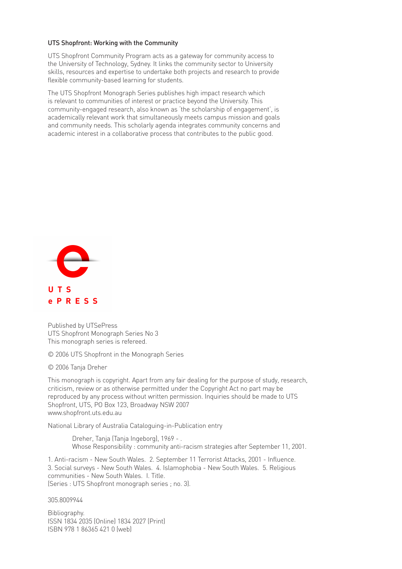#### UTS Shopfront: Working with the Community

UTS Shopfront Community Program acts as a gateway for community access to the University of Technology, Sydney. It links the community sector to University skills, resources and expertise to undertake both projects and research to provide flexible community-based learning for students.

The UTS Shopfront Monograph Series publishes high impact research which is relevant to communities of interest or practice beyond the University. This community-engaged research, also known as 'the scholarship of engagement', is academically relevant work that simultaneously meets campus mission and goals and community needs. This scholarly agenda integrates community concerns and academic interest in a collaborative process that contributes to the public good.



Published by UTSePress UTS Shopfront Monograph Series No 3 This monograph series is refereed.

© 2006 UTS Shopfront in the Monograph Series

© 2006 Tanja Dreher

This monograph is copyright. Apart from any fair dealing for the purpose of study, research, criticism, review or as otherwise permitted under the Copyright Act no part may be reproduced by any process without written permission. Inquiries should be made to UTS Shopfront, UTS, PO Box 123, Broadway NSW 2007 www.shopfront.uts.edu.au

National Library of Australia Cataloguing-in-Publication entry

Dreher, Tanja (Tanja Ingeborg), 1969 - . Whose Responsibility : community anti-racism strategies after September 11, 2001.

1. Anti-racism - New South Wales. 2. September 11 Terrorist Attacks, 2001 - Influence. 3. Social surveys - New South Wales. 4. Islamophobia - New South Wales. 5. Religious communities - New South Wales. I. Title. (Series : UTS Shopfront monograph series ; no. 3).

305.8009944

Bibliography. ISSN 1834 2035 (Online) 1834 2027 (Print) ISBN 978 1 86365 421 0 (web)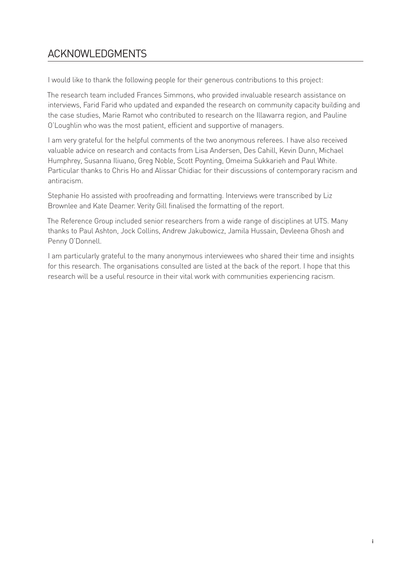# ACKNOWLEDGMENTS

I would like to thank the following people for their generous contributions to this project:

The research team included Frances Simmons, who provided invaluable research assistance on interviews, Farid Farid who updated and expanded the research on community capacity building and the case studies, Marie Ramot who contributed to research on the Illawarra region, and Pauline O'Loughlin who was the most patient, efficient and supportive of managers.

I am very grateful for the helpful comments of the two anonymous referees. I have also received valuable advice on research and contacts from Lisa Andersen, Des Cahill, Kevin Dunn, Michael Humphrey, Susanna Iliuano, Greg Noble, Scott Poynting, Omeima Sukkarieh and Paul White. Particular thanks to Chris Ho and Alissar Chidiac for their discussions of contemporary racism and antiracism.

Stephanie Ho assisted with proofreading and formatting. Interviews were transcribed by Liz Brownlee and Kate Deamer. Verity Gill finalised the formatting of the report.

The Reference Group included senior researchers from a wide range of disciplines at UTS. Many thanks to Paul Ashton, Jock Collins, Andrew Jakubowicz, Jamila Hussain, Devleena Ghosh and Penny O'Donnell.

I am particularly grateful to the many anonymous interviewees who shared their time and insights for this research. The organisations consulted are listed at the back of the report. I hope that this research will be a useful resource in their vital work with communities experiencing racism.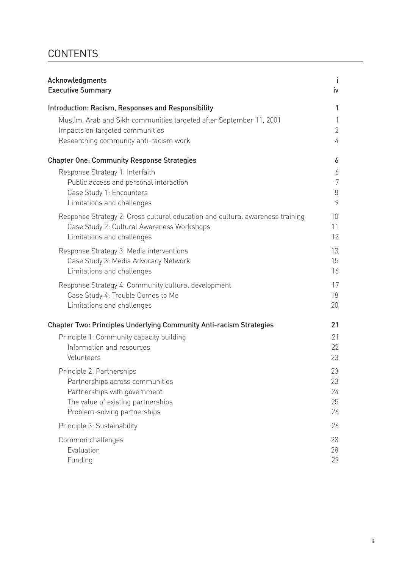# **CONTENTS**

| Acknowledgments                                                                                                             | Ť              |
|-----------------------------------------------------------------------------------------------------------------------------|----------------|
| <b>Executive Summary</b>                                                                                                    | iv             |
| Introduction: Racism, Responses and Responsibility                                                                          | 1              |
| Muslim, Arab and Sikh communities targeted after September 11, 2001                                                         | 1              |
| Impacts on targeted communities                                                                                             | $\overline{2}$ |
| Researching community anti-racism work                                                                                      | 4              |
| <b>Chapter One: Community Response Strategies</b>                                                                           | 6              |
| Response Strategy 1: Interfaith                                                                                             | 6              |
| Public access and personal interaction                                                                                      | 7              |
| Case Study 1: Encounters                                                                                                    | 8<br>9         |
| Limitations and challenges                                                                                                  |                |
| Response Strategy 2: Cross cultural education and cultural awareness training<br>Case Study 2: Cultural Awareness Workshops | 10<br>11       |
| Limitations and challenges                                                                                                  | 12             |
| Response Strategy 3: Media interventions                                                                                    | 13             |
| Case Study 3: Media Advocacy Network                                                                                        | 15             |
| Limitations and challenges                                                                                                  | 16             |
| Response Strategy 4: Community cultural development                                                                         | 17             |
| Case Study 4: Trouble Comes to Me                                                                                           | 18             |
| Limitations and challenges                                                                                                  | 20             |
| <b>Chapter Two: Principles Underlying Community Anti-racism Strategies</b>                                                  | 21             |
| Principle 1: Community capacity building                                                                                    | 21             |
| Information and resources                                                                                                   | 22             |
| Volunteers                                                                                                                  | 23             |
| Principle 2: Partnerships                                                                                                   | 23             |
| Partnerships across communities                                                                                             | 23             |
| Partnerships with government<br>The value of existing partnerships                                                          | 24<br>25       |
| Problem-solving partnerships                                                                                                | 26             |
| Principle 3: Sustainability                                                                                                 | 26             |
| Common challenges                                                                                                           | 28             |
| Evaluation                                                                                                                  | 28             |
| Funding                                                                                                                     | 29             |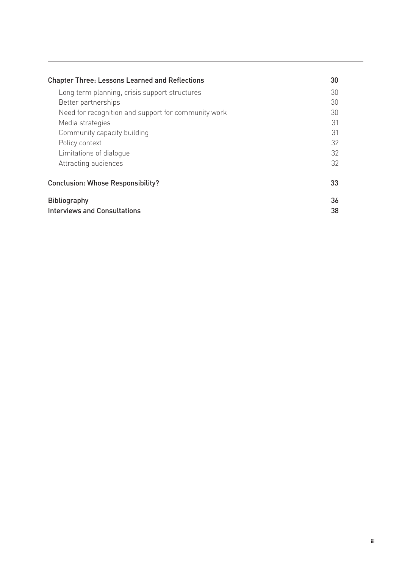| <b>Chapter Three: Lessons Learned and Reflections</b> |    |  |  |
|-------------------------------------------------------|----|--|--|
| Long term planning, crisis support structures         | 30 |  |  |
| Better partnerships                                   | 30 |  |  |
| Need for recognition and support for community work   | 30 |  |  |
| Media strategies                                      | 31 |  |  |
| Community capacity building                           | 31 |  |  |
| Policy context                                        | 32 |  |  |
| Limitations of dialogue                               | 32 |  |  |
| Attracting audiences                                  | 32 |  |  |
| <b>Conclusion: Whose Responsibility?</b>              |    |  |  |
| <b>Bibliography</b><br>Interviews and Consultations   |    |  |  |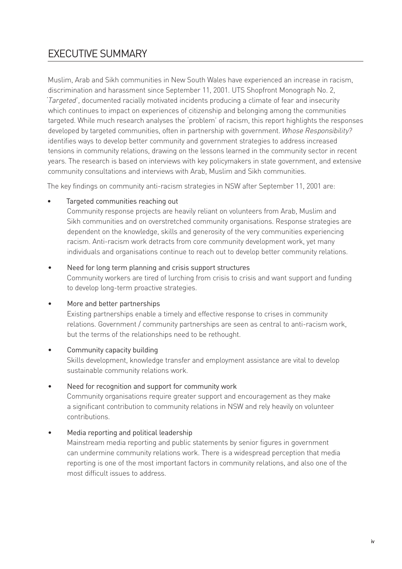# EXECUTIVE SUMMARY

Muslim, Arab and Sikh communities in New South Wales have experienced an increase in racism, discrimination and harassment since September 11, 2001. UTS Shopfront Monograph No. 2, *'Targeted'*, documented racially motivated incidents producing a climate of fear and insecurity which continues to impact on experiences of citizenship and belonging among the communities targeted. While much research analyses the 'problem' of racism, this report highlights the responses developed by targeted communities, often in partnership with government. *Whose Responsibility?* identifies ways to develop better community and government strategies to address increased tensions in community relations, drawing on the lessons learned in the community sector in recent years. The research is based on interviews with key policymakers in state government, and extensive community consultations and interviews with Arab, Muslim and Sikh communities.

The key findings on community anti-racism strategies in NSW after September 11, 2001 are:

#### Targeted communities reaching out •

Community response projects are heavily reliant on volunteers from Arab, Muslim and Sikh communities and on overstretched community organisations. Response strategies are dependent on the knowledge, skills and generosity of the very communities experiencing racism. Anti-racism work detracts from core community development work, yet many individuals and organisations continue to reach out to develop better community relations.

#### Need for long term planning and crisis support structures •

Community workers are tired of lurching from crisis to crisis and want support and funding to develop long-term proactive strategies.

#### More and better partnerships •

Existing partnerships enable a timely and effective response to crises in community relations. Government / community partnerships are seen as central to anti-racism work, but the terms of the relationships need to be rethought.

#### Community capacity building •

Skills development, knowledge transfer and employment assistance are vital to develop sustainable community relations work.

#### Need for recognition and support for community work •

Community organisations require greater support and encouragement as they make a significant contribution to community relations in NSW and rely heavily on volunteer contributions.

#### Media reporting and political leadership •

Mainstream media reporting and public statements by senior figures in government can undermine community relations work. There is a widespread perception that media reporting is one of the most important factors in community relations, and also one of the most difficult issues to address.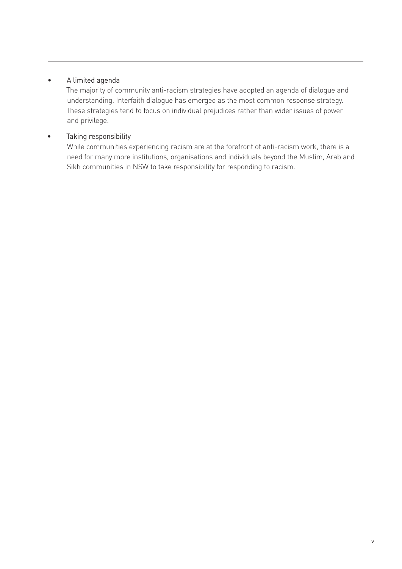#### A limited agenda •

The majority of community anti-racism strategies have adopted an agenda of dialogue and understanding. Interfaith dialogue has emerged as the most common response strategy. These strategies tend to focus on individual prejudices rather than wider issues of power and privilege.

#### Taking responsibility •

While communities experiencing racism are at the forefront of anti-racism work, there is a need for many more institutions, organisations and individuals beyond the Muslim, Arab and Sikh communities in NSW to take responsibility for responding to racism.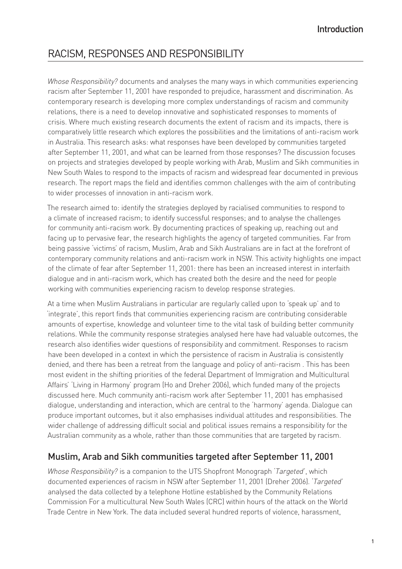# RACISM, RESPONSES AND RESPONSIBILITY

*Whose Responsibility?* documents and analyses the many ways in which communities experiencing racism after September 11, 2001 have responded to prejudice, harassment and discrimination. As contemporary research is developing more complex understandings of racism and community relations, there is a need to develop innovative and sophisticated responses to moments of crisis. Where much existing research documents the extent of racism and its impacts, there is comparatively little research which explores the possibilities and the limitations of anti-racism work in Australia. This research asks: what responses have been developed by communities targeted after September 11, 2001, and what can be learned from those responses? The discussion focuses on projects and strategies developed by people working with Arab, Muslim and Sikh communities in New South Wales to respond to the impacts of racism and widespread fear documented in previous research. The report maps the field and identifies common challenges with the aim of contributing to wider processes of innovation in anti-racism work.

The research aimed to: identify the strategies deployed by racialised communities to respond to a climate of increased racism; to identify successful responses; and to analyse the challenges for community anti-racism work. By documenting practices of speaking up, reaching out and facing up to pervasive fear, the research highlights the agency of targeted communities. Far from being passive 'victims' of racism, Muslim, Arab and Sikh Australians are in fact at the forefront of contemporary community relations and anti-racism work in NSW. This activity highlights one impact of the climate of fear after September 11, 2001: there has been an increased interest in interfaith dialogue and in anti-racism work, which has created both the desire and the need for people working with communities experiencing racism to develop response strategies.

At a time when Muslim Australians in particular are regularly called upon to 'speak up' and to 'integrate', this report finds that communities experiencing racism are contributing considerable amounts of expertise, knowledge and volunteer time to the vital task of building better community relations. While the community response strategies analysed here have had valuable outcomes, the research also identifies wider questions of responsibility and commitment. Responses to racism have been developed in a context in which the persistence of racism in Australia is consistently denied, and there has been a retreat from the language and policy of anti-racism . This has been most evident in the shifting priorities of the federal Department of Immigration and Multicultural Affairs' 'Living in Harmony' program (Ho and Dreher 2006), which funded many of the projects discussed here. Much community anti-racism work after September 11, 2001 has emphasised dialogue, understanding and interaction, which are central to the 'harmony' agenda. Dialogue can produce important outcomes, but it also emphasises individual attitudes and responsibilities. The wider challenge of addressing difficult social and political issues remains a responsibility for the Australian community as a whole, rather than those communities that are targeted by racism.

## Muslim, Arab and Sikh communities targeted after September 11, 2001

*Whose Responsibility?* is a companion to the UTS Shopfront Monograph *'Targeted'*, which documented experiences of racism in NSW after September 11, 2001 (Dreher 2006). *'Targeted'* analysed the data collected by a telephone Hotline established by the Community Relations Commission For a multicultural New South Wales (CRC) within hours of the attack on the World Trade Centre in New York. The data included several hundred reports of violence, harassment,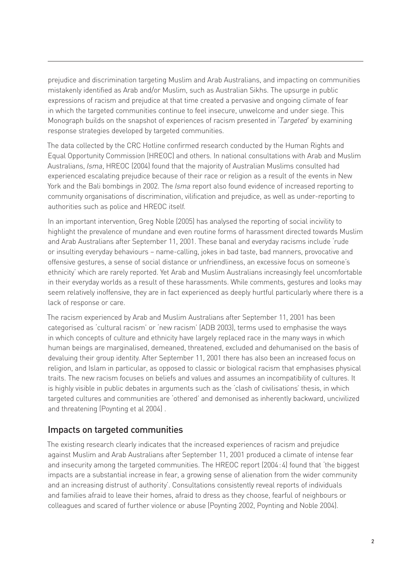prejudice and discrimination targeting Muslim and Arab Australians, and impacting on communities mistakenly identified as Arab and/or Muslim, such as Australian Sikhs. The upsurge in public expressions of racism and prejudice at that time created a pervasive and ongoing climate of fear in which the targeted communities continue to feel insecure, unwelcome and under siege. This Monograph builds on the snapshot of experiences of racism presented in *'Targeted'* by examining response strategies developed by targeted communities.

The data collected by the CRC Hotline confirmed research conducted by the Human Rights and Equal Opportunity Commission (HREOC) and others. In national consultations with Arab and Muslim Australians, *Isma*, HREOC (2004) found that the majority of Australian Muslims consulted had experienced escalating prejudice because of their race or religion as a result of the events in New York and the Bali bombings in 2002. The *Isma* report also found evidence of increased reporting to community organisations of discrimination, vilification and prejudice, as well as under-reporting to authorities such as police and HREOC itself.

In an important intervention, Greg Noble (2005) has analysed the reporting of social incivility to highlight the prevalence of mundane and even routine forms of harassment directed towards Muslim and Arab Australians after September 11, 2001. These banal and everyday racisms include 'rude or insulting everyday behaviours – name-calling, jokes in bad taste, bad manners, provocative and offensive gestures, a sense of social distance or unfriendliness, an excessive focus on someone's ethnicity' which are rarely reported. Yet Arab and Muslim Australians increasingly feel uncomfortable in their everyday worlds as a result of these harassments. While comments, gestures and looks may seem relatively inoffensive, they are in fact experienced as deeply hurtful particularly where there is a lack of response or care.

The racism experienced by Arab and Muslim Australians after September 11, 2001 has been categorised as 'cultural racism' or 'new racism' (ADB 2003), terms used to emphasise the ways in which concepts of culture and ethnicity have largely replaced race in the many ways in which human beings are marginalised, demeaned, threatened, excluded and dehumanised on the basis of devaluing their group identity. After September 11, 2001 there has also been an increased focus on religion, and Islam in particular, as opposed to classic or biological racism that emphasises physical traits. The new racism focuses on beliefs and values and assumes an incompatibility of cultures. It is highly visible in public debates in arguments such as the 'clash of civilisations' thesis, in which targeted cultures and communities are 'othered' and demonised as inherently backward, uncivilized and threatening (Poynting et al 2004) .

## Impacts on targeted communities

The existing research clearly indicates that the increased experiences of racism and prejudice against Muslim and Arab Australians after September 11, 2001 produced a climate of intense fear and insecurity among the targeted communities. The HREOC report (2004 : 4) found that 'the biggest impacts are a substantial increase in fear, a growing sense of alienation from the wider community and an increasing distrust of authority'. Consultations consistently reveal reports of individuals and families afraid to leave their homes, afraid to dress as they choose, fearful of neighbours or colleagues and scared of further violence or abuse (Poynting 2002, Poynting and Noble 2004).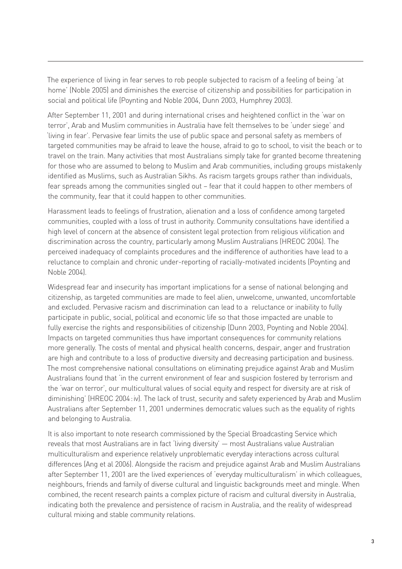The experience of living in fear serves to rob people subjected to racism of a feeling of being 'at home' (Noble 2005) and diminishes the exercise of citizenship and possibilities for participation in social and political life (Poynting and Noble 2004, Dunn 2003, Humphrey 2003).

After September 11, 2001 and during international crises and heightened conflict in the 'war on terror', Arab and Muslim communities in Australia have felt themselves to be 'under siege' and 'living in fear'. Pervasive fear limits the use of public space and personal safety as members of targeted communities may be afraid to leave the house, afraid to go to school, to visit the beach or to travel on the train. Many activities that most Australians simply take for granted become threatening for those who are assumed to belong to Muslim and Arab communities, including groups mistakenly identified as Muslims, such as Australian Sikhs. As racism targets groups rather than individuals, fear spreads among the communities singled out – fear that it could happen to other members of the community, fear that it could happen to other communities.

Harassment leads to feelings of frustration, alienation and a loss of confidence among targeted communities, coupled with a loss of trust in authority. Community consultations have identified a high level of concern at the absence of consistent legal protection from religious vilification and discrimination across the country, particularly among Muslim Australians (HREOC 2004). The perceived inadequacy of complaints procedures and the indifference of authorities have lead to a reluctance to complain and chronic under-reporting of racially-motivated incidents (Poynting and Noble 2004).

Widespread fear and insecurity has important implications for a sense of national belonging and citizenship, as targeted communities are made to feel alien, unwelcome, unwanted, uncomfortable and excluded. Pervasive racism and discrimination can lead to a reluctance or inability to fully participate in public, social, political and economic life so that those impacted are unable to fully exercise the rights and responsibilities of citizenship (Dunn 2003, Poynting and Noble 2004). Impacts on targeted communities thus have important consequences for community relations more generally. The costs of mental and physical health concerns, despair, anger and frustration are high and contribute to a loss of productive diversity and decreasing participation and business. The most comprehensive national consultations on eliminating prejudice against Arab and Muslim Australians found that 'in the current environment of fear and suspicion fostered by terrorism and the 'war on terror', our multicultural values of social equity and respect for diversity are at risk of diminishing' (HREOC 2004 : iv). The lack of trust, security and safety experienced by Arab and Muslim Australians after September 11, 2001 undermines democratic values such as the equality of rights and belonging to Australia.

It is also important to note research commissioned by the Special Broadcasting Service which reveals that most Australians are in fact 'living diversity' — most Australians value Australian multiculturalism and experience relatively unproblematic everyday interactions across cultural differences (Ang et al 2006). Alongside the racism and prejudice against Arab and Muslim Australians after September 11, 2001 are the lived experiences of 'everyday multiculturalism' in which colleagues, neighbours, friends and family of diverse cultural and linguistic backgrounds meet and mingle. When combined, the recent research paints a complex picture of racism and cultural diversity in Australia, indicating both the prevalence and persistence of racism in Australia, and the reality of widespread cultural mixing and stable community relations.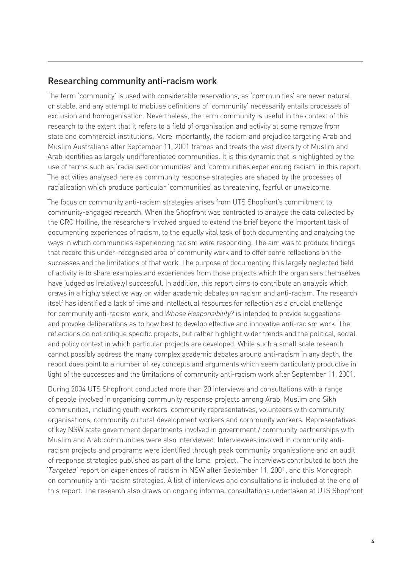## Researching community anti-racism work

The term 'community' is used with considerable reservations, as 'communities' are never natural or stable, and any attempt to mobilise definitions of 'community' necessarily entails processes of exclusion and homogenisation. Nevertheless, the term community is useful in the context of this research to the extent that it refers to a field of organisation and activity at some remove from state and commercial institutions. More importantly, the racism and prejudice targeting Arab and Muslim Australians after September 11, 2001 frames and treats the vast diversity of Muslim and Arab identities as largely undifferentiated communities. It is this dynamic that is highlighted by the use of terms such as 'racialised communities' and 'communities experiencing racism' in this report. The activities analysed here as community response strategies are shaped by the processes of racialisation which produce particular 'communities' as threatening, fearful or unwelcome.

The focus on community anti-racism strategies arises from UTS Shopfront's commitment to community-engaged research. When the Shopfront was contracted to analyse the data collected by the CRC Hotline, the researchers involved argued to extend the brief beyond the important task of documenting experiences of racism, to the equally vital task of both documenting and analysing the ways in which communities experiencing racism were responding. The aim was to produce findings that record this under-recognised area of community work and to offer some reflections on the successes and the limitations of that work. The purpose of documenting this largely neglected field of activity is to share examples and experiences from those projects which the organisers themselves have judged as (relatively) successful. In addition, this report aims to contribute an analysis which draws in a highly selective way on wider academic debates on racism and anti-racism. The research itself has identified a lack of time and intellectual resources for reflection as a crucial challenge for community anti-racism work, and *Whose Responsibility?* is intended to provide suggestions and provoke deliberations as to how best to develop effective and innovative anti-racism work. The reflections do not critique specific projects, but rather highlight wider trends and the political, social and policy context in which particular projects are developed. While such a small scale research cannot possibly address the many complex academic debates around anti-racism in any depth, the report does point to a number of key concepts and arguments which seem particularly productive in light of the successes and the limitations of community anti-racism work after September 11, 2001.

During 2004 UTS Shopfront conducted more than 20 interviews and consultations with a range of people involved in organising community response projects among Arab, Muslim and Sikh communities, including youth workers, community representatives, volunteers with community organisations, community cultural development workers and community workers. Representatives of key NSW state government departments involved in government / community partnerships with Muslim and Arab communities were also interviewed. Interviewees involved in community antiracism projects and programs were identified through peak community organisations and an audit of response strategies published as part of the Isma project. The interviews contributed to both the *'Targeted'* report on experiences of racism in NSW after September 11, 2001, and this Monograph on community anti-racism strategies. A list of interviews and consultations is included at the end of this report. The research also draws on ongoing informal consultations undertaken at UTS Shopfront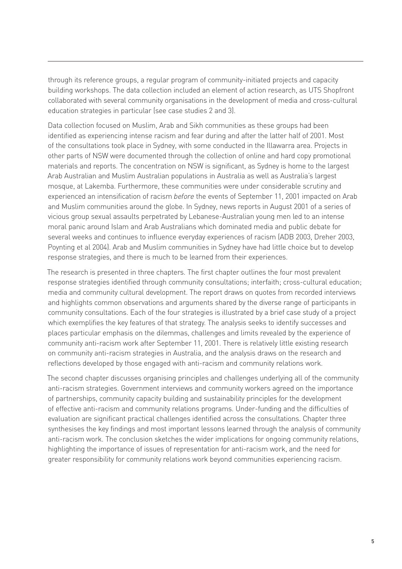through its reference groups, a regular program of community-initiated projects and capacity building workshops. The data collection included an element of action research, as UTS Shopfront collaborated with several community organisations in the development of media and cross-cultural education strategies in particular (see case studies 2 and 3).

Data collection focused on Muslim, Arab and Sikh communities as these groups had been identified as experiencing intense racism and fear during and after the latter half of 2001. Most of the consultations took place in Sydney, with some conducted in the Illawarra area. Projects in other parts of NSW were documented through the collection of online and hard copy promotional materials and reports. The concentration on NSW is significant, as Sydney is home to the largest Arab Australian and Muslim Australian populations in Australia as well as Australia's largest mosque, at Lakemba. Furthermore, these communities were under considerable scrutiny and experienced an intensification of racism *before* the events of September 11, 2001 impacted on Arab and Muslim communities around the globe. In Sydney, news reports in August 2001 of a series of vicious group sexual assaults perpetrated by Lebanese-Australian young men led to an intense moral panic around Islam and Arab Australians which dominated media and public debate for several weeks and continues to influence everyday experiences of racism (ADB 2003, Dreher 2003, Poynting et al 2004). Arab and Muslim communities in Sydney have had little choice but to develop response strategies, and there is much to be learned from their experiences.

The research is presented in three chapters. The first chapter outlines the four most prevalent response strategies identified through community consultations; interfaith; cross-cultural education; media and community cultural development. The report draws on quotes from recorded interviews and highlights common observations and arguments shared by the diverse range of participants in community consultations. Each of the four strategies is illustrated by a brief case study of a project which exemplifies the key features of that strategy. The analysis seeks to identify successes and places particular emphasis on the dilemmas, challenges and limits revealed by the experience of community anti-racism work after September 11, 2001. There is relatively little existing research on community anti-racism strategies in Australia, and the analysis draws on the research and reflections developed by those engaged with anti-racism and community relations work.

The second chapter discusses organising principles and challenges underlying all of the community anti-racism strategies. Government interviews and community workers agreed on the importance of partnerships, community capacity building and sustainability principles for the development of effective anti-racism and community relations programs. Under-funding and the difficulties of evaluation are significant practical challenges identified across the consultations. Chapter three synthesises the key findings and most important lessons learned through the analysis of community anti-racism work. The conclusion sketches the wider implications for ongoing community relations, highlighting the importance of issues of representation for anti-racism work, and the need for greater responsibility for community relations work beyond communities experiencing racism.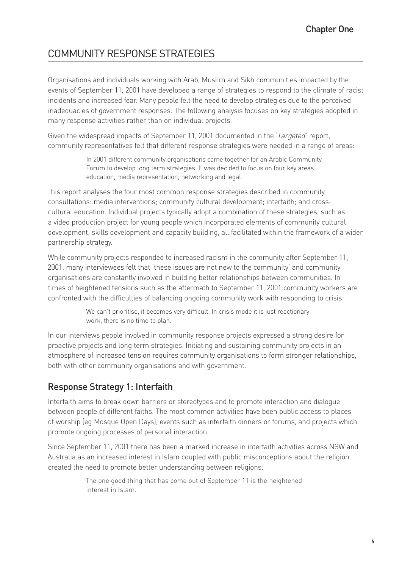# COMMUNITY RESPONSE STRATEGIES

Organisations and individuals working with Arab, Muslim and Sikh communities impacted by the events of September 11, 2001 have developed a range of strategies to respond to the climate of racist incidents and increased fear. Many people felt the need to develop strategies due to the perceived inadequacies of government responses. The following analysis focuses on key strategies adopted in many response activities rather than on individual projects.

Given the widespread impacts of September 11, 2001 documented in the *'Targeted'* report, community representatives felt that different response strategies were needed in a range of areas:

> In 2001 different community organisations came together for an Arabic Community Forum to develop long term strategies. It was decided to focus on four key areas: education, media representation, networking and legal.

This report analyses the four most common response strategies described in community consultations: media interventions; community cultural development; interfaith; and crosscultural education. Individual projects typically adopt a combination of these strategies, such as a video production project for young people which incorporated elements of community cultural development, skills development and capacity building, all facilitated within the framework of a wider partnership strategy.

While community projects responded to increased racism in the community after September 11, 2001, many interviewees felt that 'these issues are not new to the community' and community organisations are constantly involved in building better relationships between communities. In times of heightened tensions such as the aftermath to September 11, 2001 community workers are confronted with the difficulties of balancing ongoing community work with responding to crisis:

> We can't prioritise, it becomes very difficult. In crisis mode it is just reactionary work, there is no time to plan.

In our interviews people involved in community response projects expressed a strong desire for proactive projects and long term strategies. Initiating and sustaining community projects in an atmosphere of increased tension requires community organisations to form stronger relationships, both with other community organisations and with government.

# Response Strategy 1: Interfaith

Interfaith aims to break down barriers or stereotypes and to promote interaction and dialogue between people of different faiths. The most common activities have been public access to places of worship (eg Mosque Open Days), events such as interfaith dinners or forums, and projects which promote ongoing processes of personal interaction.

Since September 11, 2001 there has been a marked increase in interfaith activities across NSW and Australia as an increased interest in Islam coupled with public misconceptions about the religion created the need to promote better understanding between religions:

> The one good thing that has come out of September 11 is the heightened interest in Islam.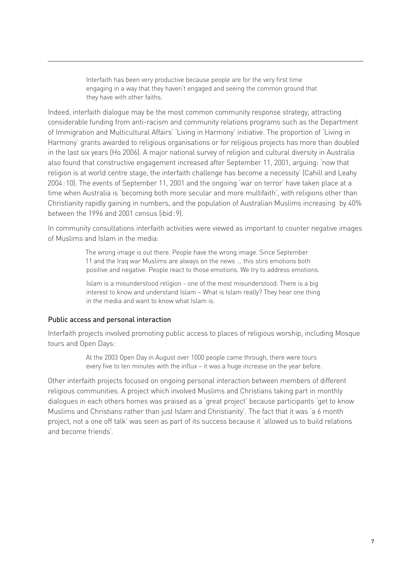Interfaith has been very productive because people are for the very first time engaging in a way that they haven't engaged and seeing the common ground that they have with other faiths.

Indeed, interfaith dialogue may be the most common community response strategy, attracting considerable funding from anti-racism and community relations programs such as the Department of Immigration and Multicultural Affairs' 'Living in Harmony' initiative. The proportion of 'Living in Harmony' grants awarded to religious organisations or for religious projects has more than doubled in the last six years (Ho 2006). A major national survey of religion and cultural diversity in Australia also found that constructive engagement increased after September 11, 2001, arguing: 'now that religion is at world centre stage, the interfaith challenge has become a necessity' (Cahill and Leahy 2004 : 10). The events of September 11, 2001 and the ongoing 'war on terror' have taken place at a time when Australia is 'becoming both more secular and more multifaith', with religions other than Christianity rapidly gaining in numbers, and the population of Australian Muslims increasing by 40% between the 1996 and 2001 census (ibid : 9).

In community consultations interfaith activities were viewed as important to counter negative images of Muslims and Islam in the media:

> The wrong image is out there. People have the wrong image. Since September 11 and the Iraq war Muslims are always on the news … this stirs emotions both positive and negative. People react to those emotions. We try to address emotions.

> Islam is a misunderstood religion - one of the most misunderstood. There is a big interest to know and understand Islam – What is Islam really? They hear one thing in the media and want to know what Islam is.

#### Public access and personal interaction

Interfaith projects involved promoting public access to places of religious worship, including Mosque tours and Open Days:

> At the 2003 Open Day in August over 1000 people came through, there were tours every five to ten minutes with the influx – it was a huge increase on the year before.

Other interfaith projects focused on ongoing personal interaction between members of different religious communities. A project which involved Muslims and Christians taking part in monthly dialogues in each others homes was praised as a 'great project' because participants 'get to know Muslims and Christians rather than just Islam and Christianity'. The fact that it was 'a 6 month project, not a one off talk' was seen as part of its success because it 'allowed us to build relations and become friends'.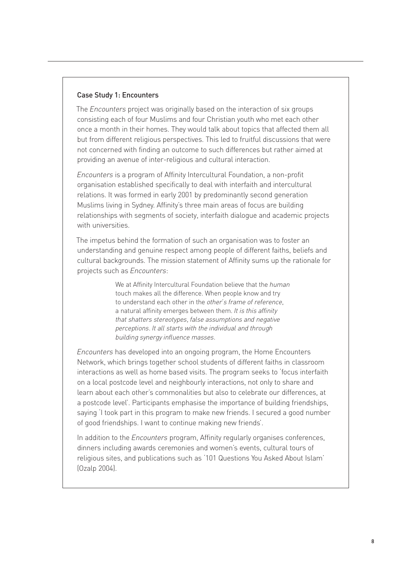#### Case Study 1: Encounters

The *Encounters* project was originally based on the interaction of six groups consisting each of four Muslims and four Christian youth who met each other once a month in their homes. They would talk about topics that affected them all but from different religious perspectives. This led to fruitful discussions that were not concerned with finding an outcome to such differences but rather aimed at providing an avenue of inter-religious and cultural interaction.

*Encounters* is a program of Affinity Intercultural Foundation, a non-profit organisation established specifically to deal with interfaith and intercultural relations. It was formed in early 2001 by predominantly second generation Muslims living in Sydney. Affinity's three main areas of focus are building relationships with segments of society, interfaith dialogue and academic projects with universities.

The impetus behind the formation of such an organisation was to foster an understanding and genuine respect among people of different faiths, beliefs and cultural backgrounds. The mission statement of Affinity sums up the rationale for projects such as *Encounters*:

> We at Affinity Intercultural Foundation believe that the *human* touch makes all the difference. When people know and try to understand each other in the *other's frame of reference*, a natural affinity emerges between them. *It is this affinity that shatters stereotypes, false assumptions and negative perceptions. It all starts with the individual and through building synergy influence masses.*

*Encounters* has developed into an ongoing program, the Home Encounters Network, which brings together school students of different faiths in classroom interactions as well as home based visits. The program seeks to 'focus interfaith on a local postcode level and neighbourly interactions, not only to share and learn about each other's commonalities but also to celebrate our differences, at a postcode level'. Participants emphasise the importance of building friendships, saying 'I took part in this program to make new friends. I secured a good number of good friendships. I want to continue making new friends'.

In addition to the *Encounters* program, Affinity regularly organises conferences, dinners including awards ceremonies and women's events, cultural tours of religious sites, and publications such as '101 Questions You Asked About Islam' (Ozalp 2004).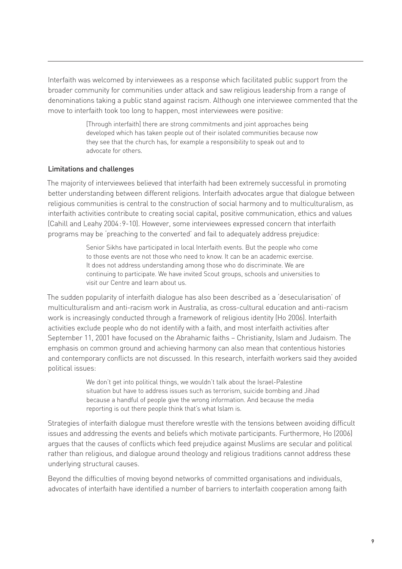Interfaith was welcomed by interviewees as a response which facilitated public support from the broader community for communities under attack and saw religious leadership from a range of denominations taking a public stand against racism. Although one interviewee commented that the move to interfaith took too long to happen, most interviewees were positive:

> [Through interfaith] there are strong commitments and joint approaches being developed which has taken people out of their isolated communities because now they see that the church has, for example a responsibility to speak out and to advocate for others.

#### Limitations and challenges

The majority of interviewees believed that interfaith had been extremely successful in promoting better understanding between different religions. Interfaith advocates argue that dialogue between religious communities is central to the construction of social harmony and to multiculturalism, as interfaith activities contribute to creating social capital, positive communication, ethics and values (Cahill and Leahy 2004 : 9-10). However, some interviewees expressed concern that interfaith programs may be 'preaching to the converted' and fail to adequately address prejudice:

> Senior Sikhs have participated in local Interfaith events. But the people who come to those events are not those who need to know. It can be an academic exercise. It does not address understanding among those who do discriminate. We are continuing to participate. We have invited Scout groups, schools and universities to visit our Centre and learn about us.

The sudden popularity of interfaith dialogue has also been described as a 'desecularisation' of multiculturalism and anti-racism work in Australia, as cross-cultural education and anti-racism work is increasingly conducted through a framework of religious identity (Ho 2006). Interfaith activities exclude people who do not identify with a faith, and most interfaith activities after September 11, 2001 have focused on the Abrahamic faiths – Christianity, Islam and Judaism. The emphasis on common ground and achieving harmony can also mean that contentious histories and contemporary conflicts are not discussed. In this research, interfaith workers said they avoided political issues:

> We don't get into political things, we wouldn't talk about the Israel-Palestine situation but have to address issues such as terrorism, suicide bombing and Jihad because a handful of people give the wrong information. And because the media reporting is out there people think that's what Islam is.

Strategies of interfaith dialogue must therefore wrestle with the tensions between avoiding difficult issues and addressing the events and beliefs which motivate participants. Furthermore, Ho (2006) argues that the causes of conflicts which feed prejudice against Muslims are secular and political rather than religious, and dialogue around theology and religious traditions cannot address these underlying structural causes.

Beyond the difficulties of moving beyond networks of committed organisations and individuals, advocates of interfaith have identified a number of barriers to interfaith cooperation among faith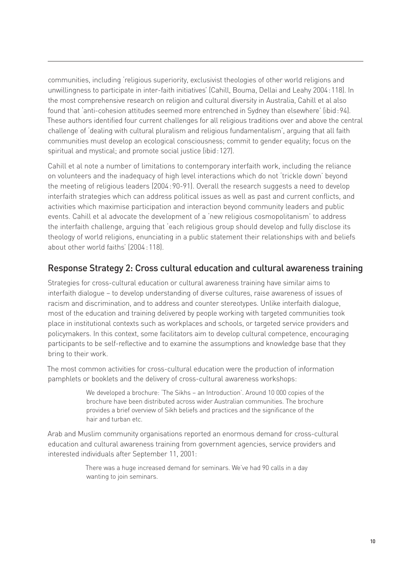communities, including 'religious superiority, exclusivist theologies of other world religions and unwillingness to participate in inter-faith initiatives' (Cahill, Bouma, Dellai and Leahy 2004 : 118). In the most comprehensive research on religion and cultural diversity in Australia, Cahill et al also found that 'anti-cohesion attitudes seemed more entrenched in Sydney than elsewhere' (ibid : 94). These authors identified four current challenges for all religious traditions over and above the central challenge of 'dealing with cultural pluralism and religious fundamentalism', arguing that all faith communities must develop an ecological consciousness; commit to gender equality; focus on the spiritual and mystical; and promote social justice (ibid : 127).

Cahill et al note a number of limitations to contemporary interfaith work, including the reliance on volunteers and the inadequacy of high level interactions which do not 'trickle down' beyond the meeting of religious leaders (2004 : 90-91). Overall the research suggests a need to develop interfaith strategies which can address political issues as well as past and current conflicts, and activities which maximise participation and interaction beyond community leaders and public events. Cahill et al advocate the development of a 'new religious cosmopolitanism' to address the interfaith challenge, arguing that 'each religious group should develop and fully disclose its theology of world religions, enunciating in a public statement their relationships with and beliefs about other world faiths' (2004 : 118).

## Response Strategy 2: Cross cultural education and cultural awareness training

Strategies for cross-cultural education or cultural awareness training have similar aims to interfaith dialogue – to develop understanding of diverse cultures, raise awareness of issues of racism and discrimination, and to address and counter stereotypes. Unlike interfaith dialogue, most of the education and training delivered by people working with targeted communities took place in institutional contexts such as workplaces and schools, or targeted service providers and policymakers. In this context, some facilitators aim to develop cultural competence, encouraging participants to be self-reflective and to examine the assumptions and knowledge base that they bring to their work.

The most common activities for cross-cultural education were the production of information pamphlets or booklets and the delivery of cross-cultural awareness workshops:

> We developed a brochure: 'The Sikhs – an Introduction'. Around 10 000 copies of the brochure have been distributed across wider Australian communities. The brochure provides a brief overview of Sikh beliefs and practices and the significance of the hair and turban etc.

Arab and Muslim community organisations reported an enormous demand for cross-cultural education and cultural awareness training from government agencies, service providers and interested individuals after September 11, 2001:

> There was a huge increased demand for seminars. We've had 90 calls in a day wanting to join seminars.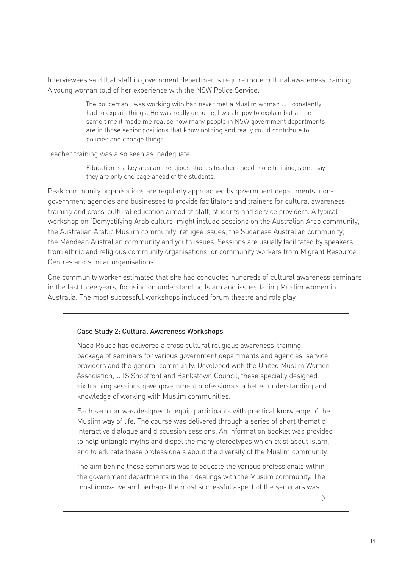Interviewees said that staff in government departments require more cultural awareness training. A young woman told of her experience with the NSW Police Service:

> The policeman I was working with had never met a Muslim woman … I constantly had to explain things. He was really genuine, I was happy to explain but at the same time it made me realise how many people in NSW government departments are in those senior positions that know nothing and really could contribute to policies and change things.

Teacher training was also seen as inadequate:

Education is a key area and religious studies teachers need more training, some say they are only one page ahead of the students.

Peak community organisations are regularly approached by government departments, nongovernment agencies and businesses to provide facilitators and trainers for cultural awareness training and cross-cultural education aimed at staff, students and service providers. A typical workshop on 'Demystifying Arab culture' might include sessions on the Australian Arab community, the Australian Arabic Muslim community, refugee issues, the Sudanese Australian community, the Mandean Australian community and youth issues. Sessions are usually facilitated by speakers from ethnic and religious community organisations, or community workers from Migrant Resource Centres and similar organisations.

One community worker estimated that she had conducted hundreds of cultural awareness seminars in the last three years, focusing on understanding Islam and issues facing Muslim women in Australia. The most successful workshops included forum theatre and role play.

### Case Study 2: Cultural Awareness Workshops

Nada Roude has delivered a cross cultural religious awareness-training package of seminars for various government departments and agencies, service providers and the general community. Developed with the United Muslim Women Association, UTS Shopfront and Bankstown Council, these specially designed six training sessions gave government professionals a better understanding and knowledge of working with Muslim communities.

Each seminar was designed to equip participants with practical knowledge of the Muslim way of life. The course was delivered through a series of short thematic interactive dialogue and discussion sessions. An information booklet was provided to help untangle myths and dispel the many stereotypes which exist about Islam, and to educate these professionals about the diversity of the Muslim community.

The aim behind these seminars was to educate the various professionals within the government departments in their dealings with the Muslim community. The most innovative and perhaps the most successful aspect of the seminars was

 $\rightarrow$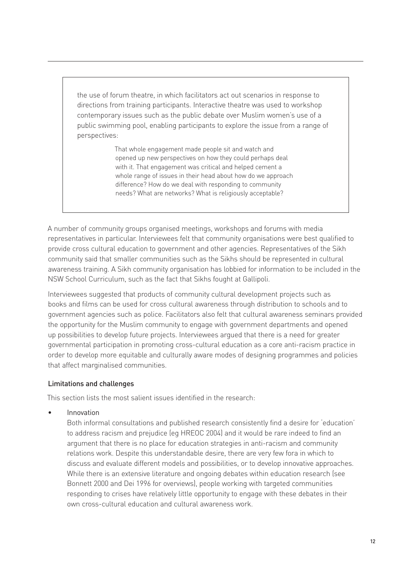the use of forum theatre, in which facilitators act out scenarios in response to directions from training participants. Interactive theatre was used to workshop contemporary issues such as the public debate over Muslim women's use of a public swimming pool, enabling participants to explore the issue from a range of perspectives:

> That whole engagement made people sit and watch and opened up new perspectives on how they could perhaps deal with it. That engagement was critical and helped cement a whole range of issues in their head about how do we approach difference? How do we deal with responding to community needs? What are networks? What is religiously acceptable?

A number of community groups organised meetings, workshops and forums with media representatives in particular. Interviewees felt that community organisations were best qualified to provide cross cultural education to government and other agencies. Representatives of the Sikh community said that smaller communities such as the Sikhs should be represented in cultural awareness training. A Sikh community organisation has lobbied for information to be included in the NSW School Curriculum, such as the fact that Sikhs fought at Gallipoli.

Interviewees suggested that products of community cultural development projects such as books and films can be used for cross cultural awareness through distribution to schools and to government agencies such as police. Facilitators also felt that cultural awareness seminars provided the opportunity for the Muslim community to engage with government departments and opened up possibilities to develop future projects. Interviewees argued that there is a need for greater governmental participation in promoting cross-cultural education as a core anti-racism practice in order to develop more equitable and culturally aware modes of designing programmes and policies that affect marginalised communities.

### Limitations and challenges

This section lists the most salient issues identified in the research:

Innovation •

> Both informal consultations and published research consistently find a desire for 'education' to address racism and prejudice (eg HREOC 2004) and it would be rare indeed to find an argument that there is no place for education strategies in anti-racism and community relations work. Despite this understandable desire, there are very few fora in which to discuss and evaluate different models and possibilities, or to develop innovative approaches. While there is an extensive literature and ongoing debates within education research (see Bonnett 2000 and Dei 1996 for overviews), people working with targeted communities responding to crises have relatively little opportunity to engage with these debates in their own cross-cultural education and cultural awareness work.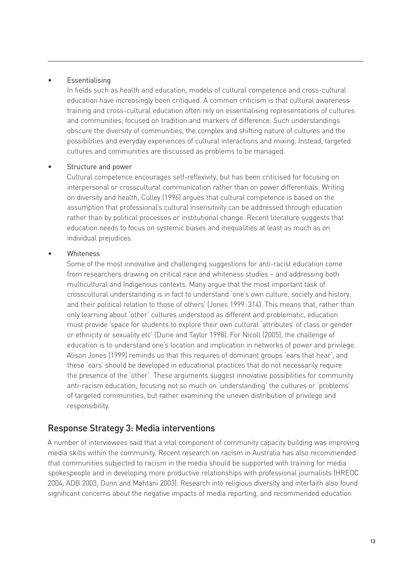#### Essentialising •

In fields such as health and education, models of cultural competence and cross-cultural education have increasingly been critiqued. A common criticism is that cultural awareness training and cross-cultural education often rely on essentialising representations of cultures and communities, focused on tradition and markers of difference. Such understandings obscure the diversity of communities, the complex and shifting nature of cultures and the possibilities and everyday experiences of cultural interactions and mixing. Instead, targeted cultures and communities are discussed as problems to be managed.

#### Structure and power •

Cultural competence encourages self-reflexivity, but has been criticised for focusing on interpersonal or crosscultural communication rather than on power differentials. Writing on diversity and health, Culley (1996) argues that cultural competence is based on the assumption that professional's cultural insensitivity can be addressed through education rather than by political processes or institutional change. Recent literature suggests that education needs to focus on systemic biases and inequalities at least as much as on individual prejudices.

#### **Whiteness** •

Some of the most innovative and challenging suggestions for anti-racist education come from researchers drawing on critical race and whiteness studies – and addressing both multicultural and Indigenous contexts. Many argue that the most important task of crosscultural understanding is in fact to understand 'one's own culture, society and history, and their political relation to those of others' (Jones 1999 : 314). This means that, rather than only learning about 'other' cultures understood as different and problematic, education must provide 'space for students to explore their own cultural 'attributes' of class or gender or ethnicity or sexuality etc' (Durie and Taylor 1998). For Nicoll (2005), the challenge of education is to understand one's location and implication in networks of power and privilege. Alison Jones (1999) reminds us that this requires of dominant groups 'ears that hear', and these 'ears' should be developed in educational practices that do not necessarily require the presence of the 'other'. These arguments suggest innovative possibilities for community anti-racism education, focusing not so much on 'understanding' the cultures or 'problems' of targeted communities, but rather examining the uneven distribution of privilege and responsibility.

## Response Strategy 3: Media interventions

A number of interviewees said that a vital component of community capacity building was improving media skills within the community. Recent research on racism in Australia has also recommended that communities subjected to racism in the media should be supported with training for media spokespeople and in developing more productive relationships with professional journalists (HREOC 2004, ADB 2003, Dunn and Mahtani 2003). Research into religious diversity and interfaith also found significant concerns about the negative impacts of media reporting, and recommended education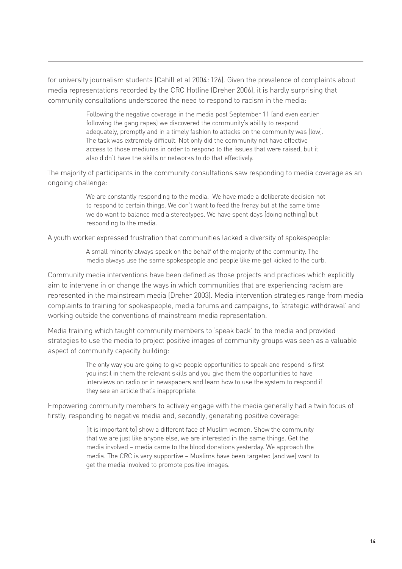for university journalism students (Cahill et al 2004 : 126). Given the prevalence of complaints about media representations recorded by the CRC Hotline (Dreher 2006), it is hardly surprising that community consultations underscored the need to respond to racism in the media:

> Following the negative coverage in the media post September 11 (and even earlier following the gang rapes) we discovered the community's ability to respond adequately, promptly and in a timely fashion to attacks on the community was [low]. The task was extremely difficult. Not only did the community not have effective access to those mediums in order to respond to the issues that were raised, but it also didn't have the skills or networks to do that effectively.

The majority of participants in the community consultations saw responding to media coverage as an ongoing challenge:

> We are constantly responding to the media. We have made a deliberate decision not to respond to certain things. We don't want to feed the frenzy but at the same time we do want to balance media stereotypes. We have spent days [doing nothing] but responding to the media.

A youth worker expressed frustration that communities lacked a diversity of spokespeople:

A small minority always speak on the behalf of the majority of the community. The media always use the same spokespeople and people like me get kicked to the curb.

Community media interventions have been defined as those projects and practices which explicitly aim to intervene in or change the ways in which communities that are experiencing racism are represented in the mainstream media (Dreher 2003). Media intervention strategies range from media complaints to training for spokespeople, media forums and campaigns, to 'strategic withdrawal' and working outside the conventions of mainstream media representation.

Media training which taught community members to 'speak back' to the media and provided strategies to use the media to project positive images of community groups was seen as a valuable aspect of community capacity building:

> The only way you are going to give people opportunities to speak and respond is first you instil in them the relevant skills and you give them the opportunities to have interviews on radio or in newspapers and learn how to use the system to respond if they see an article that's inappropriate.

Empowering community members to actively engage with the media generally had a twin focus of firstly, responding to negative media and, secondly, generating positive coverage:

> [It is important to] show a different face of Muslim women. Show the community that we are just like anyone else, we are interested in the same things. Get the media involved – media came to the blood donations yesterday. We approach the media. The CRC is very supportive – Muslims have been targeted [and we] want to get the media involved to promote positive images.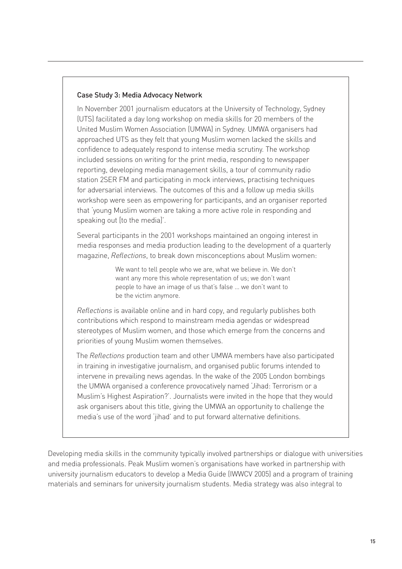#### Case Study 3: Media Advocacy Network

In November 2001 journalism educators at the University of Technology, Sydney (UTS) facilitated a day long workshop on media skills for 20 members of the United Muslim Women Association (UMWA) in Sydney. UMWA organisers had approached UTS as they felt that young Muslim women lacked the skills and confidence to adequately respond to intense media scrutiny. The workshop included sessions on writing for the print media, responding to newspaper reporting, developing media management skills, a tour of community radio station 2SER FM and participating in mock interviews, practising techniques for adversarial interviews. The outcomes of this and a follow up media skills workshop were seen as empowering for participants, and an organiser reported that 'young Muslim women are taking a more active role in responding and speaking out [to the media]'.

Several participants in the 2001 workshops maintained an ongoing interest in media responses and media production leading to the development of a quarterly magazine, *Reflections*, to break down misconceptions about Muslim women:

> We want to tell people who we are, what we believe in. We don't want any more this whole representation of us; we don't want people to have an image of us that's false … we don't want to be the victim anymore.

*Reflections* is available online and in hard copy, and regularly publishes both contributions which respond to mainstream media agendas or widespread stereotypes of Muslim women, and those which emerge from the concerns and priorities of young Muslim women themselves.

The *Reflections* production team and other UMWA members have also participated in training in investigative journalism, and organised public forums intended to intervene in prevailing news agendas. In the wake of the 2005 London bombings the UMWA organised a conference provocatively named 'Jihad: Terrorism or a Muslim's Highest Aspiration?'. Journalists were invited in the hope that they would ask organisers about this title, giving the UMWA an opportunity to challenge the media's use of the word 'jihad' and to put forward alternative definitions.

Developing media skills in the community typically involved partnerships or dialogue with universities and media professionals. Peak Muslim women's organisations have worked in partnership with university journalism educators to develop a Media Guide (IWWCV 2005) and a program of training materials and seminars for university journalism students. Media strategy was also integral to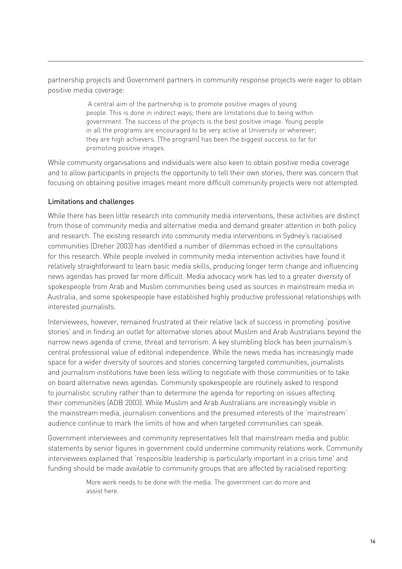partnership projects and Government partners in community response projects were eager to obtain positive media coverage:

> A central aim of the partnership is to promote positive images of young people. This is done in indirect ways; there are limitations due to being within government. The success of the projects is the best positive image. Young people in all the programs are encouraged to be very active at University or wherever; they are high achievers. [The program] has been the biggest success so far for promoting positive images.

While community organisations and individuals were also keen to obtain positive media coverage and to allow participants in projects the opportunity to tell their own stories, there was concern that focusing on obtaining positive images meant more difficult community projects were not attempted.

#### Limitations and challenges

While there has been little research into community media interventions, these activities are distinct from those of community media and alternative media and demand greater attention in both policy and research. The existing research into community media interventions in Sydney's racialised communities (Dreher 2003) has identified a number of dilemmas echoed in the consultations for this research. While people involved in community media intervention activities have found it relatively straightforward to learn basic media skills, producing longer term change and influencing news agendas has proved far more difficult. Media advocacy work has led to a greater diversity of spokespeople from Arab and Muslim communities being used as sources in mainstream media in Australia, and some spokespeople have established highly productive professional relationships with interested journalists.

Interviewees, however, remained frustrated at their relative lack of success in promoting 'positive stories' and in finding an outlet for alternative stories about Muslim and Arab Australians beyond the narrow news agenda of crime, threat and terrorism. A key stumbling block has been journalism's central professional value of editorial independence. While the news media has increasingly made space for a wider diversity of sources and stories concerning targeted communities, journalists and journalism institutions have been less willing to negotiate with those communities or to take on board alternative news agendas. Community spokespeople are routinely asked to respond to journalistic scrutiny rather than to determine the agenda for reporting on issues affecting their communities (ADB 2003). While Muslim and Arab Australians are increasingly visible in the mainstream media, journalism conventions and the presumed interests of the 'mainstream' audience continue to mark the limits of how and when targeted communities can speak.

Government interviewees and community representatives felt that mainstream media and public statements by senior figures in government could undermine community relations work. Community interviewees explained that 'responsible leadership is particularly important in a crisis time' and funding should be made available to community groups that are affected by racialised reporting:

> More work needs to be done with the media. The government can do more and assist here.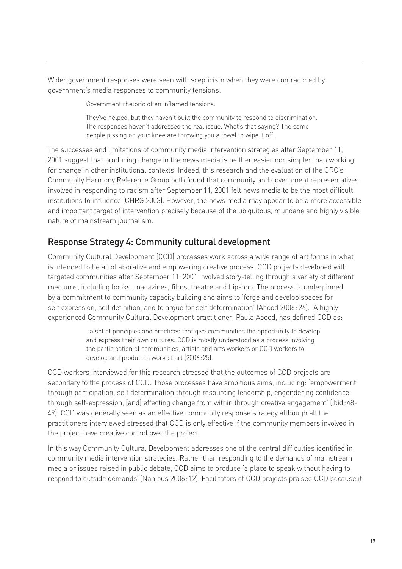Wider government responses were seen with scepticism when they were contradicted by government's media responses to community tensions:

Government rhetoric often inflamed tensions.

They've helped, but they haven't built the community to respond to discrimination. The responses haven't addressed the real issue. What's that saying? The same people pissing on your knee are throwing you a towel to wipe it off.

The successes and limitations of community media intervention strategies after September 11, 2001 suggest that producing change in the news media is neither easier nor simpler than working for change in other institutional contexts. Indeed, this research and the evaluation of the CRC's Community Harmony Reference Group both found that community and government representatives involved in responding to racism after September 11, 2001 felt news media to be the most difficult institutions to influence (CHRG 2003). However, the news media may appear to be a more accessible and important target of intervention precisely because of the ubiquitous, mundane and highly visible nature of mainstream journalism.

# Response Strategy 4: Community cultural development

Community Cultural Development (CCD) processes work across a wide range of art forms in what is intended to be a collaborative and empowering creative process. CCD projects developed with targeted communities after September 11, 2001 involved story-telling through a variety of different mediums, including books, magazines, films, theatre and hip-hop. The process is underpinned by a commitment to community capacity building and aims to 'forge and develop spaces for self expression, self definition, and to argue for self determination' (Abood 2006 : 26). A highly experienced Community Cultural Development practitioner, Paula Abood, has defined CCD as:

> ...a set of principles and practices that give communities the opportunity to develop and express their own cultures. CCD is mostly understood as a process involving the participation of communities, artists and arts workers or CCD workers to develop and produce a work of art (2006 : 25).

CCD workers interviewed for this research stressed that the outcomes of CCD projects are secondary to the process of CCD. Those processes have ambitious aims, including: 'empowerment through participation, self determination through resourcing leadership, engendering confidence through self-expression, [and] effecting change from within through creative engagement' (ibid : 48- 49). CCD was generally seen as an effective community response strategy although all the practitioners interviewed stressed that CCD is only effective if the community members involved in the project have creative control over the project.

In this way Community Cultural Development addresses one of the central difficulties identified in community media intervention strategies. Rather than responding to the demands of mainstream media or issues raised in public debate, CCD aims to produce 'a place to speak without having to respond to outside demands' (Nahlous 2006 : 12). Facilitators of CCD projects praised CCD because it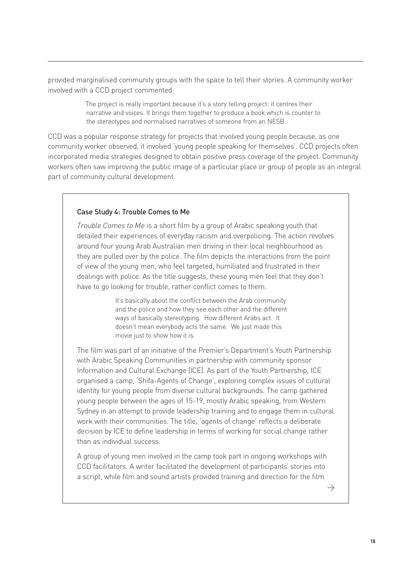provided marginalised community groups with the space to tell their stories. A community worker involved with a CCD project commented:

> The project is really important because it's a story telling project: it centres their narrative and voices. It brings them together to produce a book which is counter to the stereotypes and normalised narratives of someone from an NESB.

CCD was a popular response strategy for projects that involved young people because, as one community worker observed, it involved 'young people speaking for themselves'. CCD projects often incorporated media strategies designed to obtain positive press coverage of the project. Community workers often saw improving the public image of a particular place or group of people as an integral part of community cultural development.

#### Case Study 4: Trouble Comes to Me

*Trouble Comes to Me* is a short film by a group of Arabic speaking youth that detailed their experiences of everyday racism and overpolicing. The action revolves around four young Arab Australian men driving in their local neighbourhood as they are pulled over by the police. The film depicts the interactions from the point of view of the young men, who feel targeted, humiliated and frustrated in their dealings with police. As the title suggests, these young men feel that they don't have to go looking for trouble, rather conflict comes to them.

> It's basically about the conflict between the Arab community and the police and how they see each other and the different ways of basically stereotyping. How different Arabs act. It doesn't mean everybody acts the same. We just made this movie just to show how it is.

The film was part of an initiative of the Premier's Department's Youth Partnership with Arabic Speaking Communities in partnership with community sponsor Information and Cultural Exchange (ICE). As part of the Youth Partnership, ICE organised a camp, 'Shifa-Agents of Change', exploring complex issues of cultural identity for young people from diverse cultural backgrounds. The camp gathered young people between the ages of 15-19, mostly Arabic speaking, from Western Sydney in an attempt to provide leadership training and to engage them in cultural work with their communities. The title, 'agents of change' reflects a deliberate decision by ICE to define leadership in terms of working for social change rather than as individual success.

A group of young men involved in the camp took part in ongoing workshops with CCD facilitators. A writer facilitated the development of participants' stories into a script, while film and sound artists provided training and direction for the film

 $\rightarrow$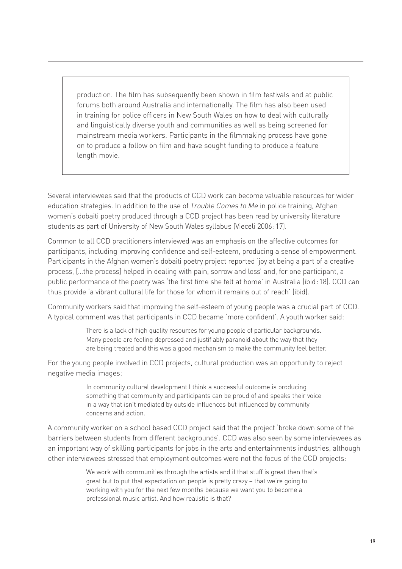production. The film has subsequently been shown in film festivals and at public forums both around Australia and internationally. The film has also been used in training for police officers in New South Wales on how to deal with culturally and linguistically diverse youth and communities as well as being screened for mainstream media workers. Participants in the filmmaking process have gone on to produce a follow on film and have sought funding to produce a feature length movie.

Several interviewees said that the products of CCD work can become valuable resources for wider education strategies. In addition to the use of *Trouble Comes to Me* in police training, Afghan women's dobaiti poetry produced through a CCD project has been read by university literature students as part of University of New South Wales syllabus (Vieceli 2006 : 17).

Common to all CCD practitioners interviewed was an emphasis on the affective outcomes for participants, including improving confidence and self-esteem, producing a sense of empowerment. Participants in the Afghan women's dobaiti poetry project reported 'joy at being a part of a creative process, […the process] helped in dealing with pain, sorrow and loss' and, for one participant, a public performance of the poetry was 'the first time she felt at home' in Australia (ibid : 18). CCD can thus provide 'a vibrant cultural life for those for whom it remains out of reach' (ibid).

Community workers said that improving the self-esteem of young people was a crucial part of CCD. A typical comment was that participants in CCD became 'more confident'. A youth worker said:

> There is a lack of high quality resources for young people of particular backgrounds. Many people are feeling depressed and justifiably paranoid about the way that they are being treated and this was a good mechanism to make the community feel better.

For the young people involved in CCD projects, cultural production was an opportunity to reject negative media images:

> In community cultural development I think a successful outcome is producing something that community and participants can be proud of and speaks their voice in a way that isn't mediated by outside influences but influenced by community concerns and action.

A community worker on a school based CCD project said that the project 'broke down some of the barriers between students from different backgrounds'. CCD was also seen by some interviewees as an important way of skilling participants for jobs in the arts and entertainments industries, although other interviewees stressed that employment outcomes were not the focus of the CCD projects:

> We work with communities through the artists and if that stuff is great then that's great but to put that expectation on people is pretty crazy – that we're going to working with you for the next few months because we want you to become a professional music artist. And how realistic is that?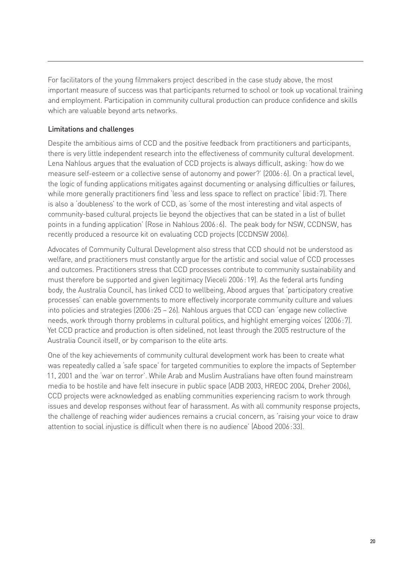For facilitators of the young filmmakers project described in the case study above, the most important measure of success was that participants returned to school or took up vocational training and employment. Participation in community cultural production can produce confidence and skills which are valuable beyond arts networks.

### Limitations and challenges

Despite the ambitious aims of CCD and the positive feedback from practitioners and participants, there is very little independent research into the effectiveness of community cultural development. Lena Nahlous argues that the evaluation of CCD projects is always difficult, asking: 'how do we measure self-esteem or a collective sense of autonomy and power?' (2006 : 6). On a practical level, the logic of funding applications mitigates against documenting or analysing difficulties or failures, while more generally practitioners find 'less and less space to reflect on practice' (ibid : 7). There is also a 'doubleness' to the work of CCD, as 'some of the most interesting and vital aspects of community-based cultural projects lie beyond the objectives that can be stated in a list of bullet points in a funding application' (Rose in Nahlous 2006 : 6). The peak body for NSW, CCDNSW, has recently produced a resource kit on evaluating CCD projects (CCDNSW 2006).

Advocates of Community Cultural Development also stress that CCD should not be understood as welfare, and practitioners must constantly argue for the artistic and social value of CCD processes and outcomes. Practitioners stress that CCD processes contribute to community sustainability and must therefore be supported and given legitimacy (Vieceli 2006 : 19). As the federal arts funding body, the Australia Council, has linked CCD to wellbeing, Abood argues that 'participatory creative processes' can enable governments to more effectively incorporate community culture and values into policies and strategies (2006 : 25 – 26). Nahlous argues that CCD can 'engage new collective needs, work through thorny problems in cultural politics, and highlight emerging voices' (2006 : 7). Yet CCD practice and production is often sidelined, not least through the 2005 restructure of the Australia Council itself, or by comparison to the elite arts.

One of the key achievements of community cultural development work has been to create what was repeatedly called a 'safe space' for targeted communities to explore the impacts of September 11, 2001 and the 'war on terror'. While Arab and Muslim Australians have often found mainstream media to be hostile and have felt insecure in public space (ADB 2003, HREOC 2004, Dreher 2006), CCD projects were acknowledged as enabling communities experiencing racism to work through issues and develop responses without fear of harassment. As with all community response projects, the challenge of reaching wider audiences remains a crucial concern, as 'raising your voice to draw attention to social injustice is difficult when there is no audience' (Abood 2006 : 33).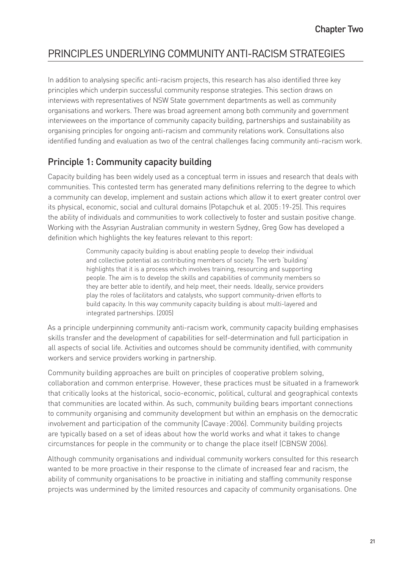# PRINCIPLES UNDERLYING COMMUNITY ANTI-RACISM STRATEGIES

In addition to analysing specific anti-racism projects, this research has also identified three key principles which underpin successful community response strategies. This section draws on interviews with representatives of NSW State government departments as well as community organisations and workers. There was broad agreement among both community and government interviewees on the importance of community capacity building, partnerships and sustainability as organising principles for ongoing anti-racism and community relations work. Consultations also identified funding and evaluation as two of the central challenges facing community anti-racism work.

# Principle 1: Community capacity building

Capacity building has been widely used as a conceptual term in issues and research that deals with communities. This contested term has generated many definitions referring to the degree to which a community can develop, implement and sustain actions which allow it to exert greater control over its physical, economic, social and cultural domains (Potapchuk et al. 2005 : 19-25). This requires the ability of individuals and communities to work collectively to foster and sustain positive change. Working with the Assyrian Australian community in western Sydney, Greg Gow has developed a definition which highlights the key features relevant to this report:

> Community capacity building is about enabling people to develop their individual and collective potential as contributing members of society. The verb 'building' highlights that it is a process which involves training, resourcing and supporting people. The aim is to develop the skills and capabilities of community members so they are better able to identify, and help meet, their needs. Ideally, service providers play the roles of facilitators and catalysts, who support community-driven efforts to build capacity. In this way community capacity building is about multi-layered and integrated partnerships. (2005)

As a principle underpinning community anti-racism work, community capacity building emphasises skills transfer and the development of capabilities for self-determination and full participation in all aspects of social life. Activities and outcomes should be community identified, with community workers and service providers working in partnership.

Community building approaches are built on principles of cooperative problem solving, collaboration and common enterprise. However, these practices must be situated in a framework that critically looks at the historical, socio-economic, political, cultural and geographical contexts that communities are located within. As such, community building bears important connections to community organising and community development but within an emphasis on the democratic involvement and participation of the community (Cavaye : 2006). Community building projects are typically based on a set of ideas about how the world works and what it takes to change circumstances for people in the community or to change the place itself (CBNSW 2006).

Although community organisations and individual community workers consulted for this research wanted to be more proactive in their response to the climate of increased fear and racism, the ability of community organisations to be proactive in initiating and staffing community response projects was undermined by the limited resources and capacity of community organisations. One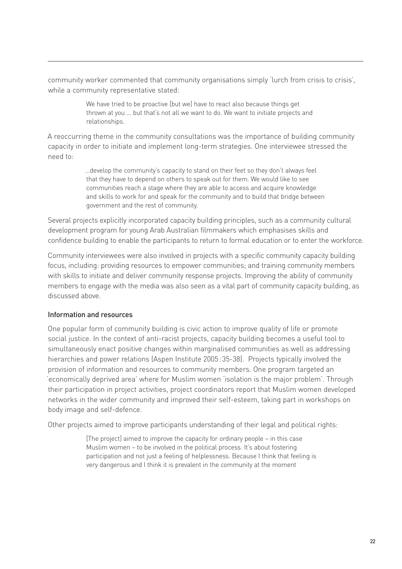community worker commented that community organisations simply 'lurch from crisis to crisis', while a community representative stated:

> We have tried to be proactive [but we] have to react also because things get thrown at you … but that's not all we want to do. We want to initiate projects and relationships.

A reoccurring theme in the community consultations was the importance of building community capacity in order to initiate and implement long-term strategies. One interviewee stressed the need to:

> ...develop the community's capacity to stand on their feet so they don't always feel that they have to depend on others to speak out for them. We would like to see communities reach a stage where they are able to access and acquire knowledge and skills to work for and speak for the community and to build that bridge between government and the rest of community.

Several projects explicitly incorporated capacity building principles, such as a community cultural development program for young Arab Australian filmmakers which emphasises skills and confidence building to enable the participants to return to formal education or to enter the workforce.

Community interviewees were also involved in projects with a specific community capacity building focus, including: providing resources to empower communities; and training community members with skills to initiate and deliver community response projects. Improving the ability of community members to engage with the media was also seen as a vital part of community capacity building, as discussed above.

### Information and resources

One popular form of community building is civic action to improve quality of life or promote social justice. In the context of anti-racist projects, capacity building becomes a useful tool to simultaneously enact positive changes within marginalised communities as well as addressing hierarchies and power relations (Aspen Institute 2005 : 35-38). Projects typically involved the provision of information and resources to community members. One program targeted an 'economically deprived area' where for Muslim women 'isolation is the major problem'. Through their participation in project activities, project coordinators report that Muslim women developed networks in the wider community and improved their self-esteem, taking part in workshops on body image and self-defence.

Other projects aimed to improve participants understanding of their legal and political rights:

[The project] aimed to improve the capacity for ordinary people – in this case Muslim women – to be involved in the political process. It's about fostering participation and not just a feeling of helplessness. Because I think that feeling is very dangerous and I think it is prevalent in the community at the moment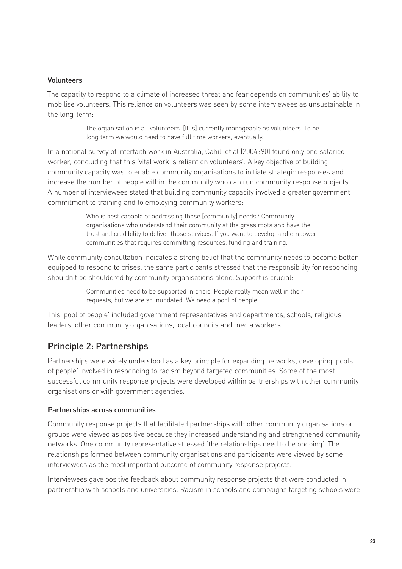#### Volunteers

The capacity to respond to a climate of increased threat and fear depends on communities' ability to mobilise volunteers. This reliance on volunteers was seen by some interviewees as unsustainable in the long-term:

> The organisation is all volunteers. [It is] currently manageable as volunteers. To be long term we would need to have full time workers, eventually.

In a national survey of interfaith work in Australia, Cahill et al (2004 : 90) found only one salaried worker, concluding that this 'vital work is reliant on volunteers'. A key objective of building community capacity was to enable community organisations to initiate strategic responses and increase the number of people within the community who can run community response projects. A number of interviewees stated that building community capacity involved a greater government commitment to training and to employing community workers:

> Who is best capable of addressing those [community] needs? Community organisations who understand their community at the grass roots and have the trust and credibility to deliver those services. If you want to develop and empower communities that requires committing resources, funding and training.

While community consultation indicates a strong belief that the community needs to become better equipped to respond to crises, the same participants stressed that the responsibility for responding shouldn't be shouldered by community organisations alone. Support is crucial:

> Communities need to be supported in crisis. People really mean well in their requests, but we are so inundated. We need a pool of people.

This 'pool of people' included government representatives and departments, schools, religious leaders, other community organisations, local councils and media workers.

## Principle 2: Partnerships

Partnerships were widely understood as a key principle for expanding networks, developing 'pools of people' involved in responding to racism beyond targeted communities. Some of the most successful community response projects were developed within partnerships with other community organisations or with government agencies.

### Partnerships across communities

Community response projects that facilitated partnerships with other community organisations or groups were viewed as positive because they increased understanding and strengthened community networks. One community representative stressed 'the relationships need to be ongoing'. The relationships formed between community organisations and participants were viewed by some interviewees as the most important outcome of community response projects.

Interviewees gave positive feedback about community response projects that were conducted in partnership with schools and universities. Racism in schools and campaigns targeting schools were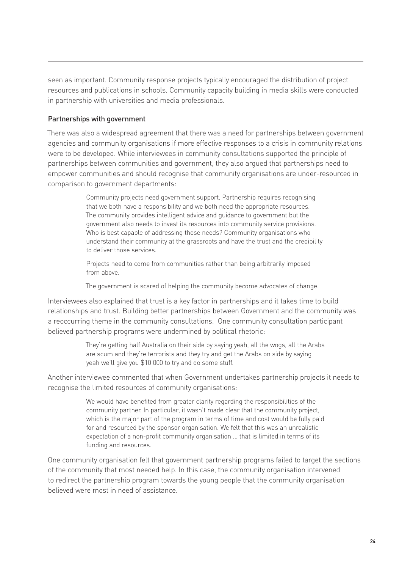seen as important. Community response projects typically encouraged the distribution of project resources and publications in schools. Community capacity building in media skills were conducted in partnership with universities and media professionals.

#### Partnerships with government

There was also a widespread agreement that there was a need for partnerships between government agencies and community organisations if more effective responses to a crisis in community relations were to be developed. While interviewees in community consultations supported the principle of partnerships between communities and government, they also argued that partnerships need to empower communities and should recognise that community organisations are under-resourced in comparison to government departments:

> Community projects need government support. Partnership requires recognising that we both have a responsibility and we both need the appropriate resources. The community provides intelligent advice and guidance to government but the government also needs to invest its resources into community service provisions. Who is best capable of addressing those needs? Community organisations who understand their community at the grassroots and have the trust and the credibility to deliver those services.

Projects need to come from communities rather than being arbitrarily imposed from above.

The government is scared of helping the community become advocates of change.

Interviewees also explained that trust is a key factor in partnerships and it takes time to build relationships and trust. Building better partnerships between Government and the community was a reoccurring theme in the community consultations. One community consultation participant believed partnership programs were undermined by political rhetoric:

> They're getting half Australia on their side by saying yeah, all the wogs, all the Arabs are scum and they're terrorists and they try and get the Arabs on side by saying yeah we'll give you \$10 000 to try and do some stuff.

Another interviewee commented that when Government undertakes partnership projects it needs to recognise the limited resources of community organisations:

> We would have benefited from greater clarity regarding the responsibilities of the community partner. In particular, it wasn't made clear that the community project, which is the major part of the program in terms of time and cost would be fully paid for and resourced by the sponsor organisation. We felt that this was an unrealistic expectation of a non-profit community organisation … that is limited in terms of its funding and resources.

One community organisation felt that government partnership programs failed to target the sections of the community that most needed help. In this case, the community organisation intervened to redirect the partnership program towards the young people that the community organisation believed were most in need of assistance.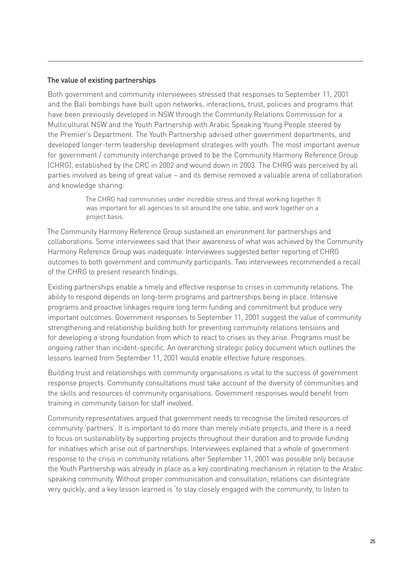#### The value of existing partnerships

Both government and community interviewees stressed that responses to September 11, 2001 and the Bali bombings have built upon networks, interactions, trust, policies and programs that have been previously developed in NSW through the Community Relations Commission for a Multicultural NSW and the Youth Partnership with Arabic Speaking Young People steered by the Premier's Department. The Youth Partnership advised other government departments, and developed longer-term leadership development strategies with youth. The most important avenue for government / community interchange proved to be the Community Harmony Reference Group (CHRG), established by the CRC in 2002 and wound down in 2003. The CHRG was perceived by all parties involved as being of great value – and its demise removed a valuable arena of collaboration and knowledge sharing:

> The CHRG had communities under incredible stress and threat working together. It was important for all agencies to sit around the one table, and work together on a project basis.

The Community Harmony Reference Group sustained an environment for partnerships and collaborations. Some interviewees said that their awareness of what was achieved by the Community Harmony Reference Group was inadequate. Interviewees suggested better reporting of CHRG outcomes to both government and community participants. Two interviewees recommended a recall of the CHRG to present research findings.

Existing partnerships enable a timely and effective response to crises in community relations. The ability to respond depends on long-term programs and partnerships being in place. Intensive programs and proactive linkages require long term funding and commitment but produce very important outcomes. Government responses to September 11, 2001 suggest the value of community strengthening and relationship building both for preventing community relations tensions and for developing a strong foundation from which to react to crises as they arise. Programs must be ongoing rather than incident-specific. An overarching strategic policy document which outlines the lessons learned from September 11, 2001 would enable effective future responses.

Building trust and relationships with community organisations is vital to the success of government response projects. Community consultations must take account of the diversity of communities and the skills and resources of community organisations. Government responses would benefit from training in community liaison for staff involved.

Community representatives argued that government needs to recognise the limited resources of community 'partners'. It is important to do more than merely initiate projects, and there is a need to focus on sustainability by supporting projects throughout their duration and to provide funding for initiatives which arise out of partnerships. Interviewees explained that a whole of government response to the crisis in community relations after September 11, 2001 was possible only because the Youth Partnership was already in place as a key coordinating mechanism in relation to the Arabic speaking community. Without proper communication and consultation, relations can disintegrate very quickly, and a key lesson learned is 'to stay closely engaged with the community, to listen to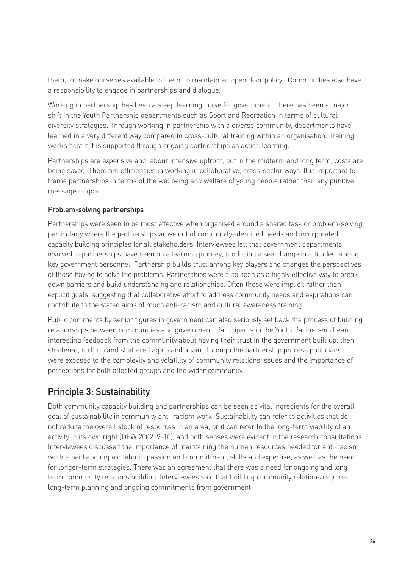them, to make ourselves available to them, to maintain an open door policy'. Communities also have a responsibility to engage in partnerships and dialogue.

Working in partnership has been a steep learning curve for government. There has been a major shift in the Youth Partnership departments such as Sport and Recreation in terms of cultural diversity strategies. Through working in partnership with a diverse community, departments have learned in a very different way compared to cross-cultural training within an organisation. Training works best if it is supported through ongoing partnerships as action learning.

Partnerships are expensive and labour intensive upfront, but in the midterm and long term, costs are being saved. There are efficiencies in working in collaborative, cross-sector ways. It is important to frame partnerships in terms of the wellbeing and welfare of young people rather than any punitive message or goal.

## Problem-solving partnerships

Partnerships were seen to be most effective when organised around a shared task or problem-solving, particularly where the partnerships arose out of community-identified needs and incorporated capacity building principles for all stakeholders. Interviewees felt that government departments involved in partnerships have been on a learning journey, producing a sea change in attitudes among key government personnel. Partnership builds trust among key players and changes the perspectives of those having to solve the problems. Partnerships were also seen as a highly effective way to break down barriers and build understanding and relationships. Often these were implicit rather than explicit goals, suggesting that collaborative effort to address community needs and aspirations can contribute to the stated aims of much anti-racism and cultural awareness training.

Public comments by senior figures in government can also seriously set back the process of building relationships between communities and government. Participants in the Youth Partnership heard interesting feedback from the community about having their trust in the government built up, then shattered, built up and shattered again and again. Through the partnership process politicians were exposed to the complexity and volatility of community relations issues and the importance of perceptions for both affected groups and the wider community.

# Principle 3: Sustainability

Both community capacity building and partnerships can be seen as vital ingredients for the overall goal of sustainability in community anti-racism work. Sustainability can refer to activities that do not reduce the overall stock of resources in an area, or it can refer to the long-term viability of an activity in its own right (DFW 2002 : 9-10), and both senses were evident in the research consultations. Interviewees discussed the importance of maintaining the human resources needed for anti-racism work – paid and unpaid labour, passion and commitment, skills and expertise, as well as the need for longer-term strategies. There was an agreement that there was a need for ongoing and long term community relations building. Interviewees said that building community relations requires long-term planning and ongoing commitments from government: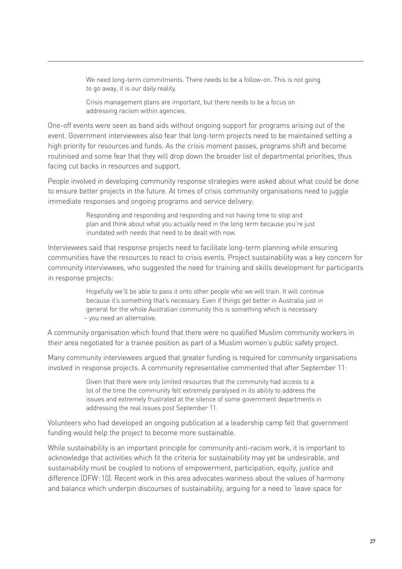We need long-term commitments. There needs to be a follow-on. This is not going to go away, it is our daily reality.

Crisis management plans are important, but there needs to be a focus on addressing racism within agencies.

One-off events were seen as band aids without ongoing support for programs arising out of the event. Government interviewees also fear that long-term projects need to be maintained setting a high priority for resources and funds. As the crisis moment passes, programs shift and become routinised and some fear that they will drop down the broader list of departmental priorities, thus facing cut backs in resources and support.

People involved in developing community response strategies were asked about what could be done to ensure better projects in the future. At times of crisis community organisations need to juggle immediate responses and ongoing programs and service delivery:

> Responding and responding and responding and not having time to stop and plan and think about what you actually need in the long term because you're just inundated with needs that need to be dealt with now.

Interviewees said that response projects need to facilitate long-term planning while ensuring communities have the resources to react to crisis events. Project sustainability was a key concern for community interviewees, who suggested the need for training and skills development for participants in response projects:

> Hopefully we'll be able to pass it onto other people who we will train. It will continue because it's something that's necessary. Even if things get better in Australia just in general for the whole Australian community this is something which is necessary – you need an alternative.

A community organisation which found that there were no qualified Muslim community workers in their area negotiated for a trainee position as part of a Muslim women's public safety project.

Many community interviewees argued that greater funding is required for community organisations involved in response projects. A community representative commented that after September 11:

> Given that there were only limited resources that the community had access to a lot of the time the community felt extremely paralysed in its ability to address the issues and extremely frustrated at the silence of some government departments in addressing the real issues post September 11.

Volunteers who had developed an ongoing publication at a leadership camp felt that government funding would help the project to become more sustainable.

While sustainability is an important principle for community anti-racism work, it is important to acknowledge that activities which fit the criteria for sustainability may yet be undesirable, and sustainability must be coupled to notions of empowerment, participation, equity, justice and difference (DFW : 10). Recent work in this area advocates wariness about the values of harmony and balance which underpin discourses of sustainability, arguing for a need to 'leave space for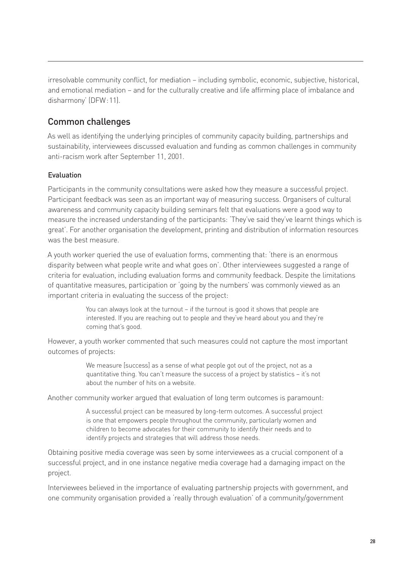irresolvable community conflict, for mediation – including symbolic, economic, subjective, historical, and emotional mediation – and for the culturally creative and life affirming place of imbalance and disharmony' (DFW : 11).

# Common challenges

As well as identifying the underlying principles of community capacity building, partnerships and sustainability, interviewees discussed evaluation and funding as common challenges in community anti-racism work after September 11, 2001.

## Evaluation

Participants in the community consultations were asked how they measure a successful project. Participant feedback was seen as an important way of measuring success. Organisers of cultural awareness and community capacity building seminars felt that evaluations were a good way to measure the increased understanding of the participants: 'They've said they've learnt things which is great'. For another organisation the development, printing and distribution of information resources was the best measure.

A youth worker queried the use of evaluation forms, commenting that: 'there is an enormous disparity between what people write and what goes on'. Other interviewees suggested a range of criteria for evaluation, including evaluation forms and community feedback. Despite the limitations of quantitative measures, participation or 'going by the numbers' was commonly viewed as an important criteria in evaluating the success of the project:

> You can always look at the turnout – if the turnout is good it shows that people are interested. If you are reaching out to people and they've heard about you and they're coming that's good.

However, a youth worker commented that such measures could not capture the most important outcomes of projects:

> We measure [success] as a sense of what people got out of the project, not as a quantitative thing. You can't measure the success of a project by statistics – it's not about the number of hits on a website.

Another community worker argued that evaluation of long term outcomes is paramount:

A successful project can be measured by long-term outcomes. A successful project is one that empowers people throughout the community, particularly women and children to become advocates for their community to identify their needs and to identify projects and strategies that will address those needs.

Obtaining positive media coverage was seen by some interviewees as a crucial component of a successful project, and in one instance negative media coverage had a damaging impact on the project.

Interviewees believed in the importance of evaluating partnership projects with government, and one community organisation provided a 'really through evaluation' of a community/government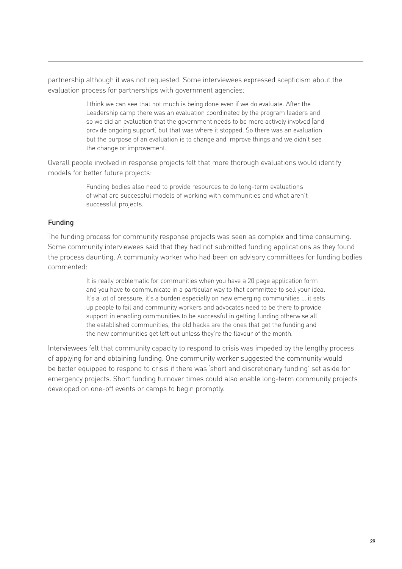partnership although it was not requested. Some interviewees expressed scepticism about the evaluation process for partnerships with government agencies:

> I think we can see that not much is being done even if we do evaluate. After the Leadership camp there was an evaluation coordinated by the program leaders and so we did an evaluation that the government needs to be more actively involved [and provide ongoing support] but that was where it stopped. So there was an evaluation but the purpose of an evaluation is to change and improve things and we didn't see the change or improvement.

Overall people involved in response projects felt that more thorough evaluations would identify models for better future projects:

> Funding bodies also need to provide resources to do long-term evaluations of what are successful models of working with communities and what aren't successful projects.

#### Funding

The funding process for community response projects was seen as complex and time consuming. Some community interviewees said that they had not submitted funding applications as they found the process daunting. A community worker who had been on advisory committees for funding bodies commented:

> It is really problematic for communities when you have a 20 page application form and you have to communicate in a particular way to that committee to sell your idea. It's a lot of pressure, it's a burden especially on new emerging communities ... it sets up people to fail and community workers and advocates need to be there to provide support in enabling communities to be successful in getting funding otherwise all the established communities, the old hacks are the ones that get the funding and the new communities get left out unless they're the flavour of the month.

Interviewees felt that community capacity to respond to crisis was impeded by the lengthy process of applying for and obtaining funding. One community worker suggested the community would be better equipped to respond to crisis if there was 'short and discretionary funding' set aside for emergency projects. Short funding turnover times could also enable long-term community projects developed on one-off events or camps to begin promptly.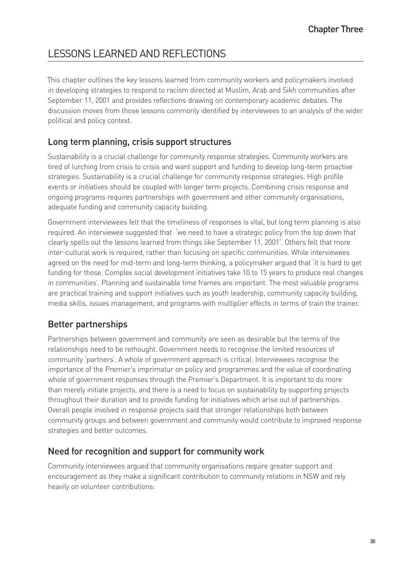# LESSONS LEARNED AND REFLECTIONS

This chapter outlines the key lessons learned from community workers and policymakers involved in developing strategies to respond to racism directed at Muslim, Arab and Sikh communities after September 11, 2001 and provides reflections drawing on contemporary academic debates. The discussion moves from those lessons commonly identified by interviewees to an analysis of the wider political and policy context.

# Long term planning, crisis support structures

Sustainability is a crucial challenge for community response strategies. Community workers are tired of lurching from crisis to crisis and want support and funding to develop long-term proactive strategies. Sustainability is a crucial challenge for community response strategies. High profile events or initiatives should be coupled with longer term projects. Combining crisis response and ongoing programs requires partnerships with government and other community organisations, adequate funding and community capacity building.

Government interviewees felt that the timeliness of responses is vital, but long term planning is also required. An interviewee suggested that 'we need to have a strategic policy from the top down that clearly spells out the lessons learned from things like September 11, 2001'. Others felt that more inter-cultural work is required, rather than focusing on specific communities. While interviewees agreed on the need for mid-term and long-term thinking, a policymaker argued that 'it is hard to get funding for those. Complex social development initiatives take 10 to 15 years to produce real changes in communities'. Planning and sustainable time frames are important. The most valuable programs are practical training and support initiatives such as youth leadership, community capacity building, media skills, issues management, and programs with multiplier effects in terms of train the trainer.

# Better partnerships

Partnerships between government and community are seen as desirable but the terms of the relationships need to be rethought. Government needs to recognise the limited resources of community 'partners'. A whole of government approach is critical. Interviewees recognise the importance of the Premier's imprimatur on policy and programmes and the value of coordinating whole of government responses through the Premier's Department. It is important to do more than merely initiate projects, and there is a need to focus on sustainability by supporting projects throughout their duration and to provide funding for initiatives which arise out of partnerships. Overall people involved in response projects said that stronger relationships both between community groups and between government and community would contribute to improved response strategies and better outcomes.

## Need for recognition and support for community work

Community interviewees argued that community organisations require greater support and encouragement as they make a significant contribution to community relations in NSW and rely heavily on volunteer contributions: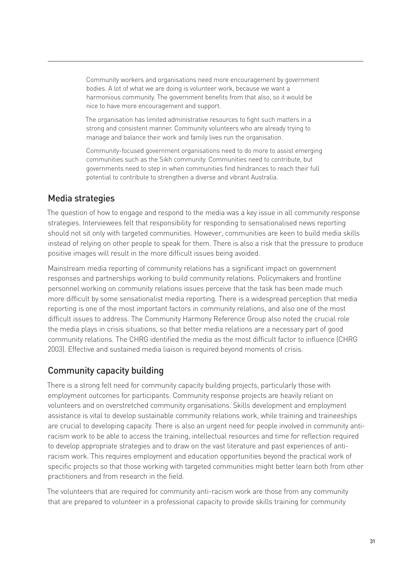Community workers and organisations need more encouragement by government bodies. A lot of what we are doing is volunteer work, because we want a harmonious community. The government benefits from that also, so it would be nice to have more encouragement and support.

The organisation has limited administrative resources to fight such matters in a strong and consistent manner. Community volunteers who are already trying to manage and balance their work and family lives run the organisation.

Community-focused government organisations need to do more to assist emerging communities such as the Sikh community. Communities need to contribute, but governments need to step in when communities find hindrances to reach their full potential to contribute to strengthen a diverse and vibrant Australia.

## Media strategies

The question of how to engage and respond to the media was a key issue in all community response strategies. Interviewees felt that responsibility for responding to sensationalised news reporting should not sit only with targeted communities. However, communities are keen to build media skills instead of relying on other people to speak for them. There is also a risk that the pressure to produce positive images will result in the more difficult issues being avoided.

Mainstream media reporting of community relations has a significant impact on government responses and partnerships working to build community relations. Policymakers and frontline personnel working on community relations issues perceive that the task has been made much more difficult by some sensationalist media reporting. There is a widespread perception that media reporting is one of the most important factors in community relations, and also one of the most difficult issues to address. The Community Harmony Reference Group also noted the crucial role the media plays in crisis situations, so that better media relations are a necessary part of good community relations. The CHRG identified the media as the most difficult factor to influence (CHRG 2003). Effective and sustained media liaison is required beyond moments of crisis.

# Community capacity building

There is a strong felt need for community capacity building projects, particularly those with employment outcomes for participants. Community response projects are heavily reliant on volunteers and on overstretched community organisations. Skills development and employment assistance is vital to develop sustainable community relations work, while training and traineeships are crucial to developing capacity. There is also an urgent need for people involved in community antiracism work to be able to access the training, intellectual resources and time for reflection required to develop appropriate strategies and to draw on the vast literature and past experiences of antiracism work. This requires employment and education opportunities beyond the practical work of specific projects so that those working with targeted communities might better learn both from other practitioners and from research in the field.

The volunteers that are required for community anti-racism work are those from any community that are prepared to volunteer in a professional capacity to provide skills training for community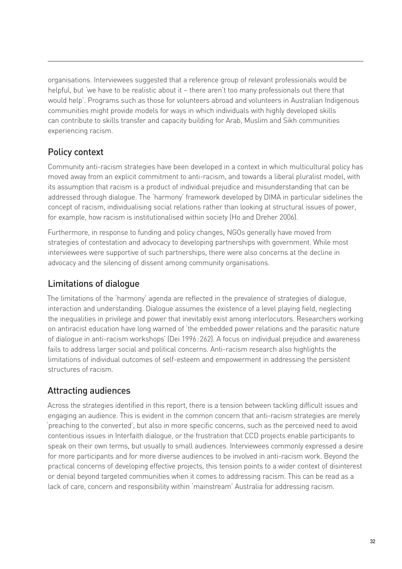organisations. Interviewees suggested that a reference group of relevant professionals would be helpful, but 'we have to be realistic about it – there aren't too many professionals out there that would help'. Programs such as those for volunteers abroad and volunteers in Australian Indigenous communities might provide models for ways in which individuals with highly developed skills can contribute to skills transfer and capacity building for Arab, Muslim and Sikh communities experiencing racism.

# Policy context

Community anti-racism strategies have been developed in a context in which multicultural policy has moved away from an explicit commitment to anti-racism, and towards a liberal pluralist model, with its assumption that racism is a product of individual prejudice and misunderstanding that can be addressed through dialogue. The 'harmony' framework developed by DIMA in particular sidelines the concept of racism, individualising social relations rather than looking at structural issues of power, for example, how racism is institutionalised within society (Ho and Dreher 2006).

Furthermore, in response to funding and policy changes, NGOs generally have moved from strategies of contestation and advocacy to developing partnerships with government. While most interviewees were supportive of such partnerships, there were also concerns at the decline in advocacy and the silencing of dissent among community organisations.

# Limitations of dialogue

The limitations of the 'harmony' agenda are reflected in the prevalence of strategies of dialogue, interaction and understanding. Dialogue assumes the existence of a level playing field, neglecting the inequalities in privilege and power that inevitably exist among interlocutors. Researchers working on antiracist education have long warned of 'the embedded power relations and the parasitic nature of dialogue in anti-racism workshops' (Dei 1996 : 262). A focus on individual prejudice and awareness fails to address larger social and political concerns. Anti-racism research also highlights the limitations of individual outcomes of self-esteem and empowerment in addressing the persistent structures of racism.

# Attracting audiences

Across the strategies identified in this report, there is a tension between tackling difficult issues and engaging an audience. This is evident in the common concern that anti-racism strategies are merely 'preaching to the converted', but also in more specific concerns, such as the perceived need to avoid contentious issues in Interfaith dialogue, or the frustration that CCD projects enable participants to speak on their own terms, but usually to small audiences. Interviewees commonly expressed a desire for more participants and for more diverse audiences to be involved in anti-racism work. Beyond the practical concerns of developing effective projects, this tension points to a wider context of disinterest or denial beyond targeted communities when it comes to addressing racism. This can be read as a lack of care, concern and responsibility within 'mainstream' Australia for addressing racism.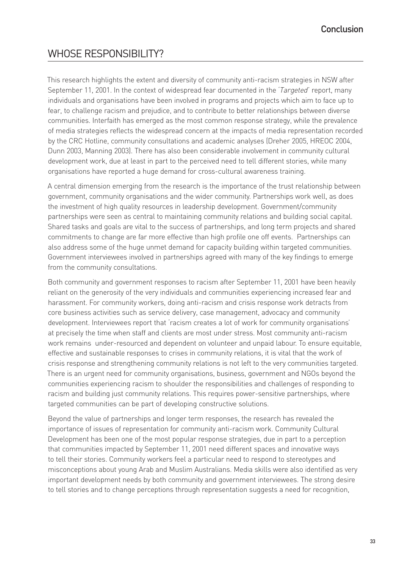# WHOSE RESPONSIBILITY?

This research highlights the extent and diversity of community anti-racism strategies in NSW after September 11, 2001. In the context of widespread fear documented in the *'Targeted'* report, many individuals and organisations have been involved in programs and projects which aim to face up to fear, to challenge racism and prejudice, and to contribute to better relationships between diverse communities. Interfaith has emerged as the most common response strategy, while the prevalence of media strategies reflects the widespread concern at the impacts of media representation recorded by the CRC Hotline, community consultations and academic analyses (Dreher 2005, HREOC 2004, Dunn 2003, Manning 2003). There has also been considerable involvement in community cultural development work, due at least in part to the perceived need to tell different stories, while many organisations have reported a huge demand for cross-cultural awareness training.

A central dimension emerging from the research is the importance of the trust relationship between government, community organisations and the wider community. Partnerships work well, as does the investment of high quality resources in leadership development. Government/community partnerships were seen as central to maintaining community relations and building social capital. Shared tasks and goals are vital to the success of partnerships, and long term projects and shared commitments to change are far more effective than high profile one off events. Partnerships can also address some of the huge unmet demand for capacity building within targeted communities. Government interviewees involved in partnerships agreed with many of the key findings to emerge from the community consultations.

Both community and government responses to racism after September 11, 2001 have been heavily reliant on the generosity of the very individuals and communities experiencing increased fear and harassment. For community workers, doing anti-racism and crisis response work detracts from core business activities such as service delivery, case management, advocacy and community development. Interviewees report that 'racism creates a lot of work for community organisations' at precisely the time when staff and clients are most under stress. Most community anti-racism work remains under-resourced and dependent on volunteer and unpaid labour. To ensure equitable, effective and sustainable responses to crises in community relations, it is vital that the work of crisis response and strengthening community relations is not left to the very communities targeted. There is an urgent need for community organisations, business, government and NGOs beyond the communities experiencing racism to shoulder the responsibilities and challenges of responding to racism and building just community relations. This requires power-sensitive partnerships, where targeted communities can be part of developing constructive solutions.

Beyond the value of partnerships and longer term responses, the research has revealed the importance of issues of representation for community anti-racism work. Community Cultural Development has been one of the most popular response strategies, due in part to a perception that communities impacted by September 11, 2001 need different spaces and innovative ways to tell their stories. Community workers feel a particular need to respond to stereotypes and misconceptions about young Arab and Muslim Australians. Media skills were also identified as very important development needs by both community and government interviewees. The strong desire to tell stories and to change perceptions through representation suggests a need for recognition,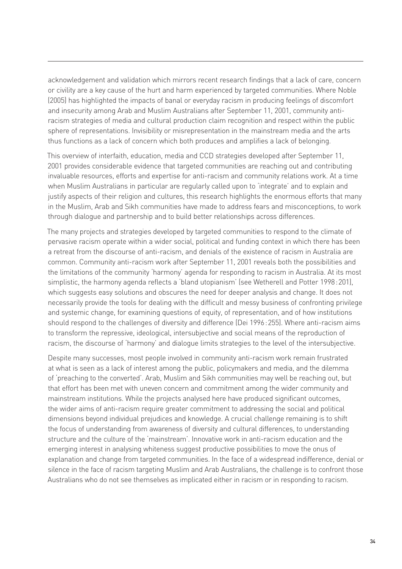acknowledgement and validation which mirrors recent research findings that a lack of care, concern or civility are a key cause of the hurt and harm experienced by targeted communities. Where Noble (2005) has highlighted the impacts of banal or everyday racism in producing feelings of discomfort and insecurity among Arab and Muslim Australians after September 11, 2001, community antiracism strategies of media and cultural production claim recognition and respect within the public sphere of representations. Invisibility or misrepresentation in the mainstream media and the arts thus functions as a lack of concern which both produces and amplifies a lack of belonging.

This overview of interfaith, education, media and CCD strategies developed after September 11, 2001 provides considerable evidence that targeted communities are reaching out and contributing invaluable resources, efforts and expertise for anti-racism and community relations work. At a time when Muslim Australians in particular are regularly called upon to 'integrate' and to explain and justify aspects of their religion and cultures, this research highlights the enormous efforts that many in the Muslim, Arab and Sikh communities have made to address fears and misconceptions, to work through dialogue and partnership and to build better relationships across differences.

The many projects and strategies developed by targeted communities to respond to the climate of pervasive racism operate within a wider social, political and funding context in which there has been a retreat from the discourse of anti-racism, and denials of the existence of racism in Australia are common. Community anti-racism work after September 11, 2001 reveals both the possibilities and the limitations of the community 'harmony' agenda for responding to racism in Australia. At its most simplistic, the harmony agenda reflects a 'bland utopianism' (see Wetherell and Potter 1998 : 201), which suggests easy solutions and obscures the need for deeper analysis and change. It does not necessarily provide the tools for dealing with the difficult and messy business of confronting privilege and systemic change, for examining questions of equity, of representation, and of how institutions should respond to the challenges of diversity and difference (Dei 1996 : 255). Where anti-racism aims to transform the repressive, ideological, intersubjective and social means of the reproduction of racism, the discourse of 'harmony' and dialogue limits strategies to the level of the intersubjective.

Despite many successes, most people involved in community anti-racism work remain frustrated at what is seen as a lack of interest among the public, policymakers and media, and the dilemma of 'preaching to the converted'. Arab, Muslim and Sikh communities may well be reaching out, but that effort has been met with uneven concern and commitment among the wider community and mainstream institutions. While the projects analysed here have produced significant outcomes, the wider aims of anti-racism require greater commitment to addressing the social and political dimensions beyond individual prejudices and knowledge. A crucial challenge remaining is to shift the focus of understanding from awareness of diversity and cultural differences, to understanding structure and the culture of the 'mainstream'. Innovative work in anti-racism education and the emerging interest in analysing whiteness suggest productive possibilities to move the onus of explanation and change from targeted communities. In the face of a widespread indifference, denial or silence in the face of racism targeting Muslim and Arab Australians, the challenge is to confront those Australians who do not see themselves as implicated either in racism or in responding to racism.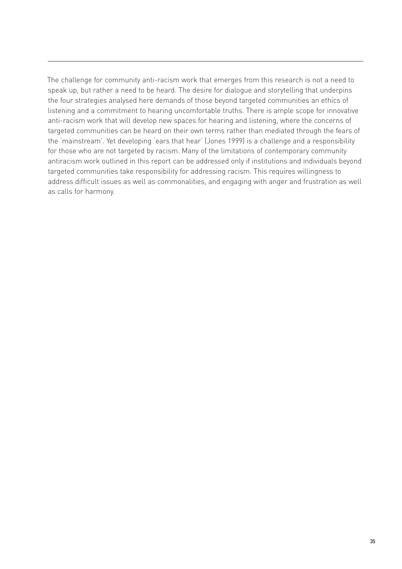The challenge for community anti-racism work that emerges from this research is not a need to speak up, but rather a need to be heard. The desire for dialogue and storytelling that underpins the four strategies analysed here demands of those beyond targeted communities an ethics of listening and a commitment to hearing uncomfortable truths. There is ample scope for innovative anti-racism work that will develop new spaces for hearing and listening, where the concerns of targeted communities can be heard on their own terms rather than mediated through the fears of the 'mainstream'. Yet developing 'ears that hear' (Jones 1999) is a challenge and a responsibility for those who are not targeted by racism. Many of the limitations of contemporary community antiracism work outlined in this report can be addressed only if institutions and individuals beyond targeted communities take responsibility for addressing racism. This requires willingness to address difficult issues as well as commonalities, and engaging with anger and frustration as well as calls for harmony.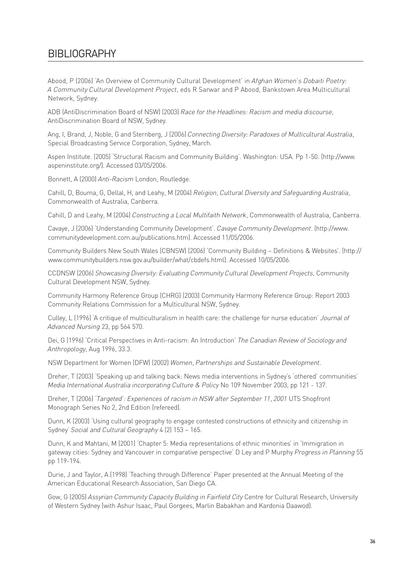# BIBLIOGRAPHY

Abood, P (2006) 'An Overview of Community Cultural Development' in *Afghan Women's Dobaiti Poetry: A Community Cultural Development Project,* eds R Sarwar and P Abood, Bankstown Area Multicultural Network, Sydney.

ADB (AntiDiscrimination Board of NSW) (2003) *Race for the Headlines: Racism and media discourse,* AntiDiscrimination Board of NSW, Sydney.

Ang, I, Brand, J, Noble, G and Sternberg, J (2006) *Connecting Diversity: Paradoxes of Multicultural Australia*, Special Broadcasting Service Corporation, Sydney, March.

Aspen Institute. (2005) 'Structural Racism and Community Building'. Washington: USA. Pp 1-50. (http://www. aspeninstitute.org/). Accessed 03/05/2006.

Bonnett, A (2000) *Anti-Racism* London, Routledge.

Cahill, D, Bouma, G, Dellal, H, and Leahy, M (2004) *Religion, Cultural Diversity and Safeguarding Australia*, Commonwealth of Australia, Canberra.

Cahill, D and Leahy, M (2004) *Constructing a Local Multifaith Network,* Commonwealth of Australia, Canberra.

Cavaye, J (2006) 'Understanding Community Development'. *Cavaye Community Development.* (http://www. communitydevelopment.com.au/publications.htm). Accessed 11/05/2006.

Community Builders New South Wales (CBNSW) (2006) 'Community Building – Definitions & Websites'. (http:// www.communitybuilders.nsw.gov.au/builder/what/cbdefs.html). Accessed 10/05/2006.

CCDNSW (2006) *Showcasing Diversity: Evaluating Community Cultural Development Projects,* Community Cultural Development NSW, Sydney.

Community Harmony Reference Group (CHRG) (2003) Community Harmony Reference Group: Report 2003 Community Relations Commission for a Multicultural NSW, Sydney.

Culley, L (1996) 'A critique of multiculturalism in health care: the challenge for nurse education' *Journal of Advanced Nursing* 23, pp 564 570.

Dei, G (1996) 'Critical Perspectives in Anti-racism: An Introduction' *The Canadian Review of Sociology and Anthropology,* Aug 1996, 33.3.

NSW Department for Women (DFW) (2002) *Women, Partnerships and Sustainable Development*.

Dreher, T (2003) 'Speaking up and talking back: News media interventions in Sydney's 'othered' communities' *Media International Australia incorporating Culture & Policy* No 109 November 2003, pp 121 - 137.

Dreher, T (2006) *'Targeted': Experiences of racism in NSW after September 11, 2001* UTS Shopfront Monograph Series No 2, 2nd Edition (refereed).

Dunn, K (2003) 'Using cultural geography to engage contested constructions of ethnicity and citizenship in Sydney' *Social and Cultural Geography* 4 (2) 153 – 165.

Dunn, K and Mahtani, M (2001) 'Chapter 5: Media representations of ethnic minorities' in 'Immigration in gateway cities: Sydney and Vancouver in comparative perspective' D Ley and P Murphy *Progress in Planning* 55 pp 119-194.

Durie, J and Taylor, A (1998) 'Teaching through Difference' Paper presented at the Annual Meeting of the American Educational Research Association, San Diego CA.

Gow, G (2005) *Assyrian Community Capacity Building in Fairfield City* Centre for Cultural Research, University of Western Sydney (with Ashur Isaac, Paul Gorgees, Marlin Babakhan and Kardonia Daawod).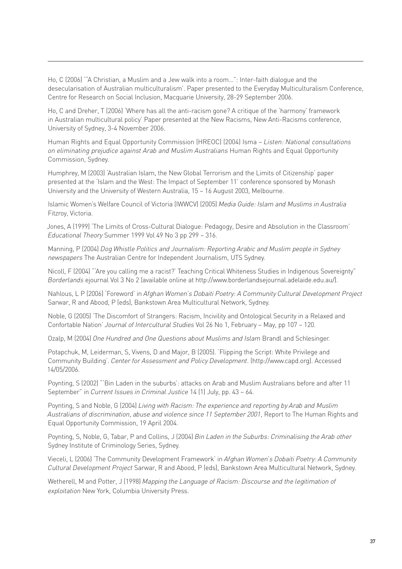Ho, C (2006) '"A Christian, a Muslim and a Jew walk into a room…": Inter-faith dialogue and the desecularisation of Australian multiculturalism'. Paper presented to the Everyday Multiculturalism Conference, Centre for Research on Social Inclusion, Macquarie University, 28-29 September 2006.

Ho, C and Dreher, T (2006) 'Where has all the anti-racism gone? A critique of the 'harmony' framework in Australian multicultural policy' Paper presented at the New Racisms, New Anti-Racisms conference, University of Sydney, 3-4 November 2006.

Human Rights and Equal Opportunity Commission (HREOC) (2004) Isma – *Listen: National consultations on eliminating prejudice against Arab and Muslim Australians* Human Rights and Equal Opportunity Commission, Sydney.

Humphrey, M (2003) 'Australian Islam, the New Global Terrorism and the Limits of Citizenship' paper presented at the 'Islam and the West: The Impact of September 11' conference sponsored by Monash University and the University of Western Australia, 15 – 16 August 2003, Melbourne.

Islamic Women's Welfare Council of Victoria (IWWCV) (2005) *Media Guide: Islam and Muslims in Australia* Fitzroy, Victoria.

Jones, A (1999) 'The Limits of Cross-Cultural Dialogue: Pedagogy, Desire and Absolution in the Classroom' *Educational Theory* Summer 1999 Vol 49 No 3 pp 299 – 316.

Manning, P (2004) *Dog Whistle Politics and Journalism: Reporting Arabic and Muslim people in Sydney newspapers* The Australian Centre for Independent Journalism, UTS Sydney.

Nicoll, F (2004) "'Are you calling me a racist?' Teaching Critical Whiteness Studies in Indigenous Sovereignty" *Borderlands* ejournal Vol 3 No 2 (available online at http://www.borderlandsejournal.adelaide.edu.au/).

Nahlous, L P (2006) 'Foreword' in *Afghan Women's Dobaiti Poetry: A Community Cultural Development Project*  Sarwar, R and Abood, P (eds), Bankstown Area Multicultural Network, Sydney.

Noble, G (2005) 'The Discomfort of Strangers: Racism, Incivility and Ontological Security in a Relaxed and Confortable Nation' *Journal of Intercultural Studies* Vol 26 No 1, February – May, pp 107 – 120.

Ozalp, M (2004) *One Hundred and One Questions about Muslims and Islam* Brandl and Schlesinger.

Potapchuk, M, Leiderman, S, Vivens, D and Major, B (2005). 'Flipping the Script: White Privilege and Community Building'. *Center for Assessment and Policy Development*. (http://www.capd.org). Accessed 14/05/2006.

Poynting, S (2002) "'Bin Laden in the suburbs': attacks on Arab and Muslim Australians before and after 11 September" in *Current Issues in Criminal Justice* 14 (1) July, pp. 43 – 64.

Poynting, S and Noble, G (2004) *Living with Racism: The experience and reporting by Arab and Muslim Australians of discrimination, abuse and violence since 11 September 2001*, Report to The Human Rights and Equal Opportunity Commission, 19 April 2004.

Poynting, S, Noble, G, Tabar, P and Collins, J (2004) *Bin Laden in the Suburbs: Criminalising the Arab other* Sydney Institute of Criminology Series, Sydney.

Vieceli, L (2006) 'The Community Development Framework' in *Afghan Women's Dobaiti Poetry: A Community Cultural Development Project* Sarwar, R and Abood, P (eds), Bankstown Area Multicultural Network, Sydney.

Wetherell, M and Potter, J (1998) *Mapping the Language of Racism: Discourse and the legitimation of exploitation* New York, Columbia University Press.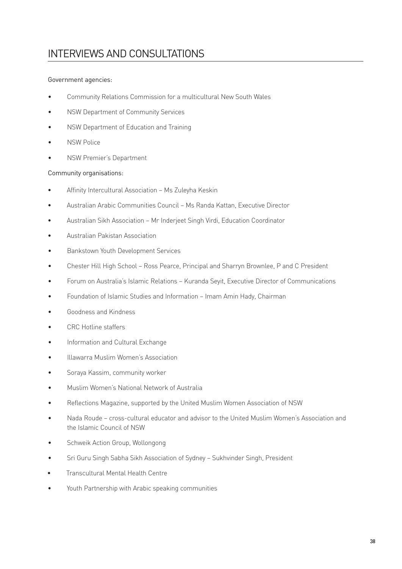# INTERVIEWS AND CONSULTATIONS

#### Government agencies:

- Community Relations Commission for a multicultural New South Wales •
- NSW Department of Community Services •
- NSW Department of Education and Training •
- NSW Police •
- NSW Premier's Department •

#### Community organisations:

- Affinity Intercultural Association Ms Zuleyha Keskin •
- Australian Arabic Communities Council Ms Randa Kattan, Executive Director •
- Australian Sikh Association Mr Inderjeet Singh Virdi, Education Coordinator •
- Australian Pakistan Association •
- Bankstown Youth Development Services •
- Chester Hill High School Ross Pearce, Principal and Sharryn Brownlee, P and C President •
- Forum on Australia's Islamic Relations Kuranda Seyit, Executive Director of Communications •
- Foundation of Islamic Studies and Information Imam Amin Hady, Chairman •
- Goodness and Kindness •
- CRC Hotline staffers •
- Information and Cultural Exchange •
- Illawarra Muslim Women's Association •
- Soraya Kassim, community worker •
- Muslim Women's National Network of Australia •
- Reflections Magazine, supported by the United Muslim Women Association of NSW •
- Nada Roude cross-cultural educator and advisor to the United Muslim Women's Association and the Islamic Council of NSW •
- Schweik Action Group, Wollongong •
- Sri Guru Singh Sabha Sikh Association of Sydney Sukhvinder Singh, President •
- Transcultural Mental Health Centre •
- Youth Partnership with Arabic speaking communities •